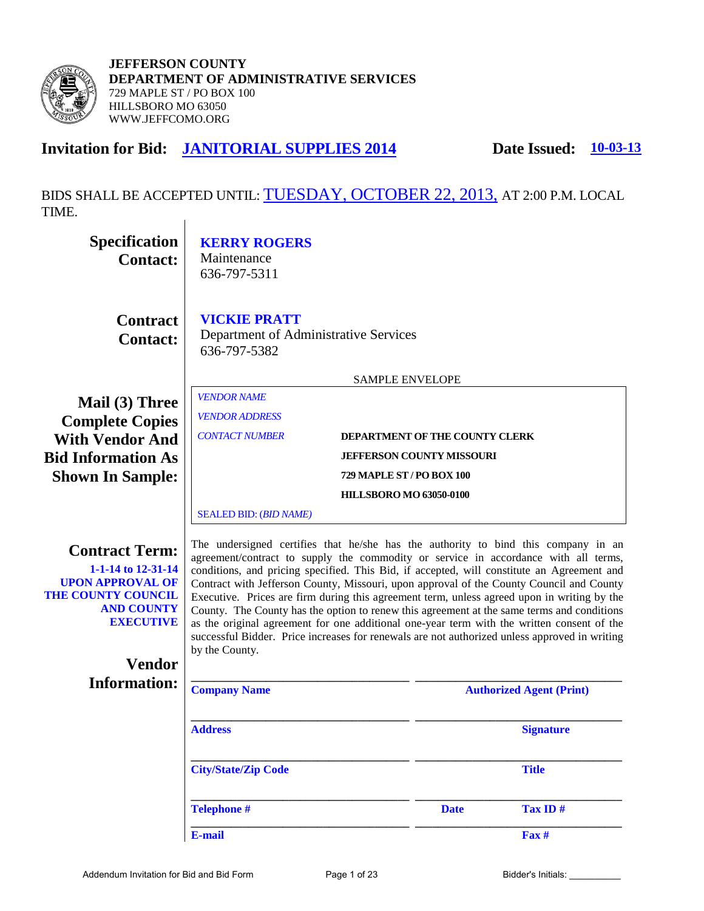

## **Invitation for Bid: JANITORIAL SUPPLIES 2014 Date Issued: 10-03-13**

BIDS SHALL BE ACCEPTED UNTIL: TUESDAY, OCTOBER 22, 2013, AT 2:00 P.M. LOCAL TIME. $\overline{1}$ 

| <b>Specification</b><br><b>Contact:</b>                                                                                                                                                                                                                                                                                                                                                                                                                                                                                                                                                                                                                                                                                                                                                                                                                                                                                           | <b>KERRY ROGERS</b><br>Maintenance<br>636-797-5311                           |                                  |             |                                 |
|-----------------------------------------------------------------------------------------------------------------------------------------------------------------------------------------------------------------------------------------------------------------------------------------------------------------------------------------------------------------------------------------------------------------------------------------------------------------------------------------------------------------------------------------------------------------------------------------------------------------------------------------------------------------------------------------------------------------------------------------------------------------------------------------------------------------------------------------------------------------------------------------------------------------------------------|------------------------------------------------------------------------------|----------------------------------|-------------|---------------------------------|
| <b>Contract</b><br><b>Contact:</b>                                                                                                                                                                                                                                                                                                                                                                                                                                                                                                                                                                                                                                                                                                                                                                                                                                                                                                | <b>VICKIE PRATT</b><br>Department of Administrative Services<br>636-797-5382 |                                  |             |                                 |
|                                                                                                                                                                                                                                                                                                                                                                                                                                                                                                                                                                                                                                                                                                                                                                                                                                                                                                                                   |                                                                              | <b>SAMPLE ENVELOPE</b>           |             |                                 |
| Mail (3) Three<br><b>Complete Copies</b>                                                                                                                                                                                                                                                                                                                                                                                                                                                                                                                                                                                                                                                                                                                                                                                                                                                                                          | <b>VENDOR NAME</b><br><b>VENDOR ADDRESS</b>                                  |                                  |             |                                 |
| <b>With Vendor And</b>                                                                                                                                                                                                                                                                                                                                                                                                                                                                                                                                                                                                                                                                                                                                                                                                                                                                                                            | <b>CONTACT NUMBER</b>                                                        | DEPARTMENT OF THE COUNTY CLERK   |             |                                 |
| <b>Bid Information As</b>                                                                                                                                                                                                                                                                                                                                                                                                                                                                                                                                                                                                                                                                                                                                                                                                                                                                                                         |                                                                              | <b>JEFFERSON COUNTY MISSOURI</b> |             |                                 |
| <b>Shown In Sample:</b>                                                                                                                                                                                                                                                                                                                                                                                                                                                                                                                                                                                                                                                                                                                                                                                                                                                                                                           |                                                                              | 729 MAPLE ST / PO BOX 100        |             |                                 |
|                                                                                                                                                                                                                                                                                                                                                                                                                                                                                                                                                                                                                                                                                                                                                                                                                                                                                                                                   |                                                                              | <b>HILLSBORO MO 63050-0100</b>   |             |                                 |
|                                                                                                                                                                                                                                                                                                                                                                                                                                                                                                                                                                                                                                                                                                                                                                                                                                                                                                                                   | <b>SEALED BID: (BID NAME)</b>                                                |                                  |             |                                 |
| The undersigned certifies that he/she has the authority to bind this company in an<br><b>Contract Term:</b><br>agreement/contract to supply the commodity or service in accordance with all terms,<br>1-1-14 to 12-31-14<br>conditions, and pricing specified. This Bid, if accepted, will constitute an Agreement and<br><b>UPON APPROVAL OF</b><br>Contract with Jefferson County, Missouri, upon approval of the County Council and County<br><b>THE COUNTY COUNCIL</b><br>Executive. Prices are firm during this agreement term, unless agreed upon in writing by the<br><b>AND COUNTY</b><br>County. The County has the option to renew this agreement at the same terms and conditions<br><b>EXECUTIVE</b><br>as the original agreement for one additional one-year term with the written consent of the<br>successful Bidder. Price increases for renewals are not authorized unless approved in writing<br>by the County. |                                                                              |                                  |             |                                 |
| <b>Vendor</b><br><b>Information:</b>                                                                                                                                                                                                                                                                                                                                                                                                                                                                                                                                                                                                                                                                                                                                                                                                                                                                                              |                                                                              |                                  |             |                                 |
|                                                                                                                                                                                                                                                                                                                                                                                                                                                                                                                                                                                                                                                                                                                                                                                                                                                                                                                                   | <b>Company Name</b>                                                          |                                  |             | <b>Authorized Agent (Print)</b> |
|                                                                                                                                                                                                                                                                                                                                                                                                                                                                                                                                                                                                                                                                                                                                                                                                                                                                                                                                   | <b>Address</b>                                                               |                                  |             | <b>Signature</b>                |
| <b>City/State/Zip Code</b><br><b>Title</b>                                                                                                                                                                                                                                                                                                                                                                                                                                                                                                                                                                                                                                                                                                                                                                                                                                                                                        |                                                                              |                                  |             |                                 |
|                                                                                                                                                                                                                                                                                                                                                                                                                                                                                                                                                                                                                                                                                                                                                                                                                                                                                                                                   | <b>Telephone #</b>                                                           |                                  | <b>Date</b> | Tax ID#                         |
|                                                                                                                                                                                                                                                                                                                                                                                                                                                                                                                                                                                                                                                                                                                                                                                                                                                                                                                                   | E-mail                                                                       |                                  |             | Fax #                           |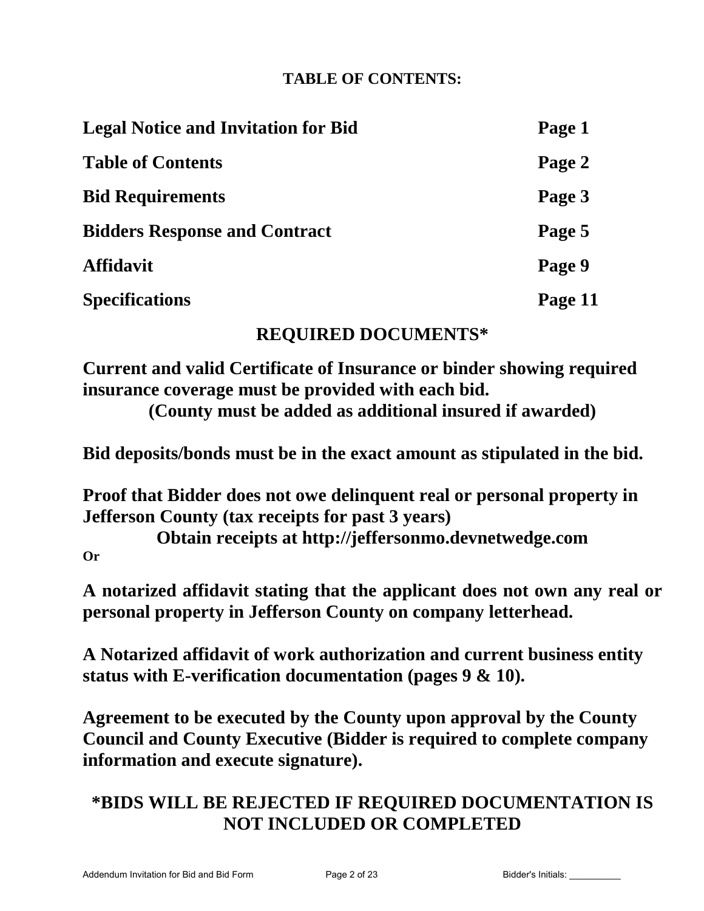## **TABLE OF CONTENTS:**

| <b>Legal Notice and Invitation for Bid</b> | Page 1  |
|--------------------------------------------|---------|
| <b>Table of Contents</b>                   | Page 2  |
| <b>Bid Requirements</b>                    | Page 3  |
| <b>Bidders Response and Contract</b>       | Page 5  |
| <b>Affidavit</b>                           | Page 9  |
| <b>Specifications</b>                      | Page 11 |

## **REQUIRED DOCUMENTS\***

**Current and valid Certificate of Insurance or binder showing required insurance coverage must be provided with each bid.**

**(County must be added as additional insured if awarded)**

**Bid deposits/bonds must be in the exact amount as stipulated in the bid.** 

**Proof that Bidder does not owe delinquent real or personal property in Jefferson County (tax receipts for past 3 years)** 

**Obtain receipts at http://jeffersonmo.devnetwedge.com Or** 

**A notarized affidavit stating that the applicant does not own any real or personal property in Jefferson County on company letterhead.** 

**A Notarized affidavit of work authorization and current business entity status with E-verification documentation (pages 9 & 10).** 

**Agreement to be executed by the County upon approval by the County Council and County Executive (Bidder is required to complete company information and execute signature).** 

# **\*BIDS WILL BE REJECTED IF REQUIRED DOCUMENTATION IS NOT INCLUDED OR COMPLETED**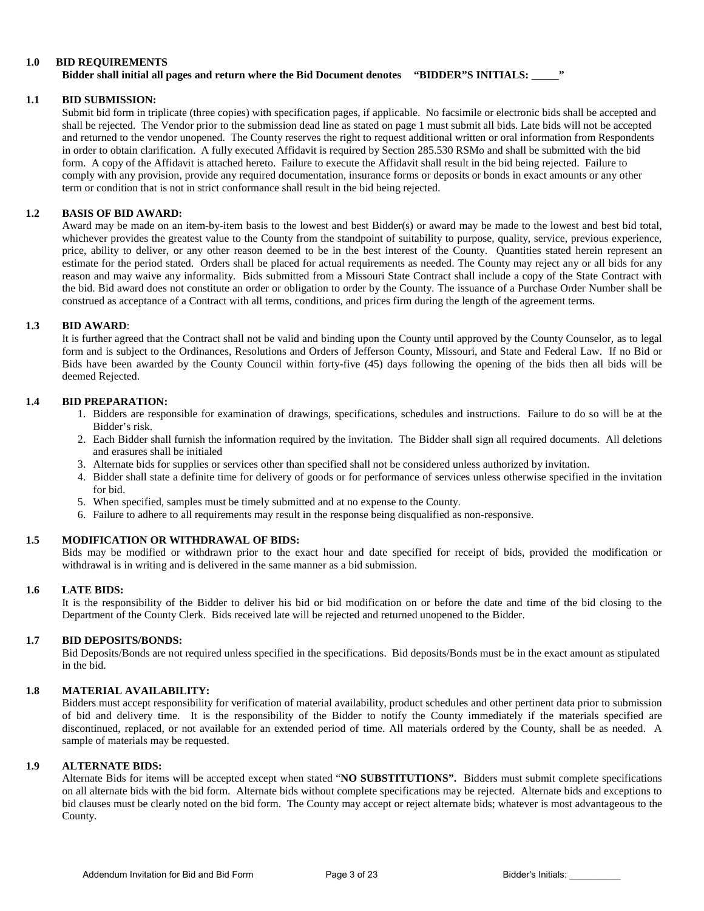#### **1.0 BID REQUIREMENTS**

#### **Bidder shall initial all pages and return where the Bid Document denotes "BIDDER"S INITIALS: \_\_\_\_\_"**

#### **1.1 BID SUBMISSION:**

Submit bid form in triplicate (three copies) with specification pages, if applicable. No facsimile or electronic bids shall be accepted and shall be rejected. The Vendor prior to the submission dead line as stated on page 1 must submit all bids. Late bids will not be accepted and returned to the vendor unopened. The County reserves the right to request additional written or oral information from Respondents in order to obtain clarification. A fully executed Affidavit is required by Section 285.530 RSMo and shall be submitted with the bid form. A copy of the Affidavit is attached hereto. Failure to execute the Affidavit shall result in the bid being rejected. Failure to comply with any provision, provide any required documentation, insurance forms or deposits or bonds in exact amounts or any other term or condition that is not in strict conformance shall result in the bid being rejected.

#### **1.2 BASIS OF BID AWARD:**

Award may be made on an item-by-item basis to the lowest and best Bidder(s) or award may be made to the lowest and best bid total, whichever provides the greatest value to the County from the standpoint of suitability to purpose, quality, service, previous experience, price, ability to deliver, or any other reason deemed to be in the best interest of the County. Quantities stated herein represent an estimate for the period stated. Orders shall be placed for actual requirements as needed. The County may reject any or all bids for any reason and may waive any informality. Bids submitted from a Missouri State Contract shall include a copy of the State Contract with the bid. Bid award does not constitute an order or obligation to order by the County. The issuance of a Purchase Order Number shall be construed as acceptance of a Contract with all terms, conditions, and prices firm during the length of the agreement terms.

#### **1.3 BID AWARD**:

It is further agreed that the Contract shall not be valid and binding upon the County until approved by the County Counselor, as to legal form and is subject to the Ordinances, Resolutions and Orders of Jefferson County, Missouri, and State and Federal Law. If no Bid or Bids have been awarded by the County Council within forty-five (45) days following the opening of the bids then all bids will be deemed Rejected.

#### **1.4 BID PREPARATION:**

- 1. Bidders are responsible for examination of drawings, specifications, schedules and instructions. Failure to do so will be at the Bidder's risk.
- 2. Each Bidder shall furnish the information required by the invitation. The Bidder shall sign all required documents. All deletions and erasures shall be initialed
- 3. Alternate bids for supplies or services other than specified shall not be considered unless authorized by invitation.
- 4. Bidder shall state a definite time for delivery of goods or for performance of services unless otherwise specified in the invitation for bid.
- 5. When specified, samples must be timely submitted and at no expense to the County.
- 6. Failure to adhere to all requirements may result in the response being disqualified as non-responsive.

#### **1.5 MODIFICATION OR WITHDRAWAL OF BIDS:**

Bids may be modified or withdrawn prior to the exact hour and date specified for receipt of bids, provided the modification or withdrawal is in writing and is delivered in the same manner as a bid submission.

#### **1.6 LATE BIDS:**

It is the responsibility of the Bidder to deliver his bid or bid modification on or before the date and time of the bid closing to the Department of the County Clerk. Bids received late will be rejected and returned unopened to the Bidder.

#### **1.7 BID DEPOSITS/BONDS:**

Bid Deposits/Bonds are not required unless specified in the specifications. Bid deposits/Bonds must be in the exact amount as stipulated in the bid.

#### **1.8 MATERIAL AVAILABILITY:**

Bidders must accept responsibility for verification of material availability, product schedules and other pertinent data prior to submission of bid and delivery time. It is the responsibility of the Bidder to notify the County immediately if the materials specified are discontinued, replaced, or not available for an extended period of time. All materials ordered by the County, shall be as needed. A sample of materials may be requested.

#### **1.9 ALTERNATE BIDS:**

Alternate Bids for items will be accepted except when stated "**NO SUBSTITUTIONS".** Bidders must submit complete specifications on all alternate bids with the bid form. Alternate bids without complete specifications may be rejected. Alternate bids and exceptions to bid clauses must be clearly noted on the bid form. The County may accept or reject alternate bids; whatever is most advantageous to the County.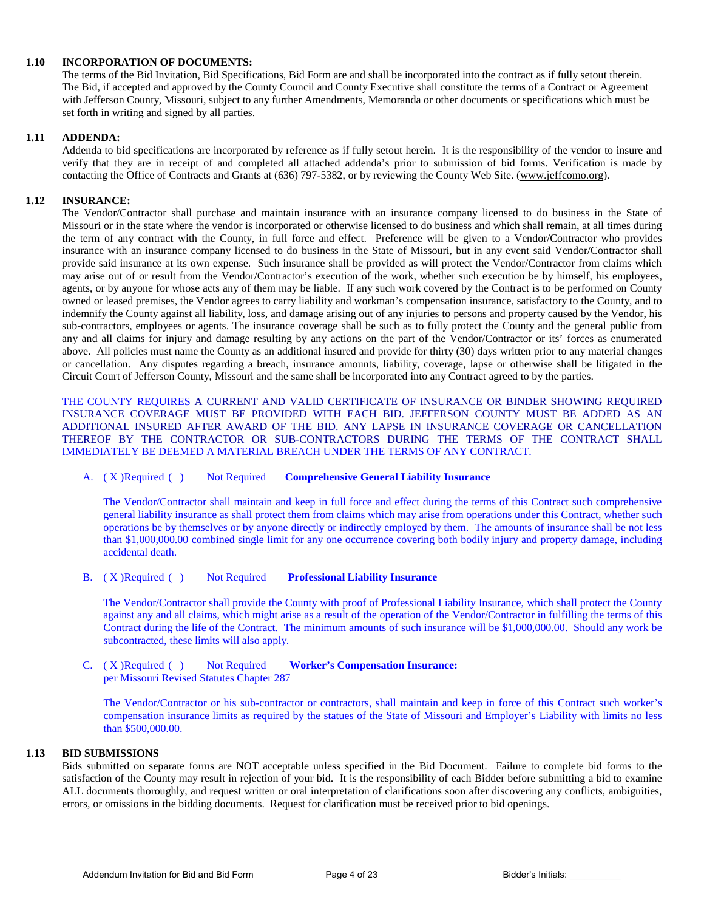#### **1.10 INCORPORATION OF DOCUMENTS:**

The terms of the Bid Invitation, Bid Specifications, Bid Form are and shall be incorporated into the contract as if fully setout therein. The Bid, if accepted and approved by the County Council and County Executive shall constitute the terms of a Contract or Agreement with Jefferson County, Missouri, subject to any further Amendments, Memoranda or other documents or specifications which must be set forth in writing and signed by all parties.

#### **1.11 ADDENDA:**

Addenda to bid specifications are incorporated by reference as if fully setout herein. It is the responsibility of the vendor to insure and verify that they are in receipt of and completed all attached addenda's prior to submission of bid forms. Verification is made by contacting the Office of Contracts and Grants at (636) 797-5382, or by reviewing the County Web Site. [\(www.jeffcomo.org\)](http://www.jeffcomo.org/).

#### **1.12 INSURANCE:**

The Vendor/Contractor shall purchase and maintain insurance with an insurance company licensed to do business in the State of Missouri or in the state where the vendor is incorporated or otherwise licensed to do business and which shall remain, at all times during the term of any contract with the County, in full force and effect. Preference will be given to a Vendor/Contractor who provides insurance with an insurance company licensed to do business in the State of Missouri, but in any event said Vendor/Contractor shall provide said insurance at its own expense. Such insurance shall be provided as will protect the Vendor/Contractor from claims which may arise out of or result from the Vendor/Contractor's execution of the work, whether such execution be by himself, his employees, agents, or by anyone for whose acts any of them may be liable. If any such work covered by the Contract is to be performed on County owned or leased premises, the Vendor agrees to carry liability and workman's compensation insurance, satisfactory to the County, and to indemnify the County against all liability, loss, and damage arising out of any injuries to persons and property caused by the Vendor, his sub-contractors, employees or agents. The insurance coverage shall be such as to fully protect the County and the general public from any and all claims for injury and damage resulting by any actions on the part of the Vendor/Contractor or its' forces as enumerated above. All policies must name the County as an additional insured and provide for thirty (30) days written prior to any material changes or cancellation. Any disputes regarding a breach, insurance amounts, liability, coverage, lapse or otherwise shall be litigated in the Circuit Court of Jefferson County, Missouri and the same shall be incorporated into any Contract agreed to by the parties.

THE COUNTY REQUIRES A CURRENT AND VALID CERTIFICATE OF INSURANCE OR BINDER SHOWING REQUIRED INSURANCE COVERAGE MUST BE PROVIDED WITH EACH BID. JEFFERSON COUNTY MUST BE ADDED AS AN ADDITIONAL INSURED AFTER AWARD OF THE BID. ANY LAPSE IN INSURANCE COVERAGE OR CANCELLATION THEREOF BY THE CONTRACTOR OR SUB-CONTRACTORS DURING THE TERMS OF THE CONTRACT SHALL IMMEDIATELY BE DEEMED A MATERIAL BREACH UNDER THE TERMS OF ANY CONTRACT.

#### A. ( X )Required ( ) Not Required **Comprehensive General Liability Insurance**

The Vendor/Contractor shall maintain and keep in full force and effect during the terms of this Contract such comprehensive general liability insurance as shall protect them from claims which may arise from operations under this Contract, whether such operations be by themselves or by anyone directly or indirectly employed by them. The amounts of insurance shall be not less than \$1,000,000.00 combined single limit for any one occurrence covering both bodily injury and property damage, including accidental death.

#### B. ( X )Required ( ) Not Required **Professional Liability Insurance**

The Vendor/Contractor shall provide the County with proof of Professional Liability Insurance, which shall protect the County against any and all claims, which might arise as a result of the operation of the Vendor/Contractor in fulfilling the terms of this Contract during the life of the Contract. The minimum amounts of such insurance will be \$1,000,000.00. Should any work be subcontracted, these limits will also apply.

C. ( X )Required ( ) Not Required **Worker's Compensation Insurance:**  per Missouri Revised Statutes Chapter 287

The Vendor/Contractor or his sub-contractor or contractors, shall maintain and keep in force of this Contract such worker's compensation insurance limits as required by the statues of the State of Missouri and Employer's Liability with limits no less than \$500,000.00.

#### **1.13 BID SUBMISSIONS**

Bids submitted on separate forms are NOT acceptable unless specified in the Bid Document. Failure to complete bid forms to the satisfaction of the County may result in rejection of your bid. It is the responsibility of each Bidder before submitting a bid to examine ALL documents thoroughly, and request written or oral interpretation of clarifications soon after discovering any conflicts, ambiguities, errors, or omissions in the bidding documents. Request for clarification must be received prior to bid openings.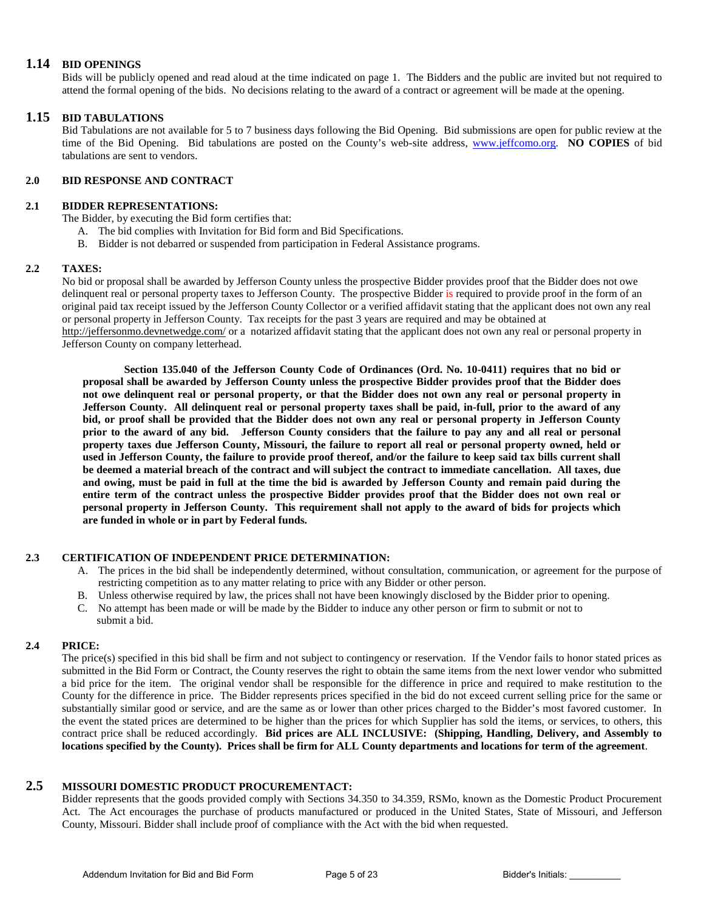#### **1.14 BID OPENINGS**

Bids will be publicly opened and read aloud at the time indicated on page 1. The Bidders and the public are invited but not required to attend the formal opening of the bids. No decisions relating to the award of a contract or agreement will be made at the opening.

#### **1.15 BID TABULATIONS**

Bid Tabulations are not available for 5 to 7 business days following the Bid Opening. Bid submissions are open for public review at the time of the Bid Opening. Bid tabulations are posted on the County's web-site address, [www.jeffcomo.org.](http://www.jeffcomo.org/) **NO COPIES** of bid tabulations are sent to vendors.

#### **2.0 BID RESPONSE AND CONTRACT**

#### **2.1 BIDDER REPRESENTATIONS:**

The Bidder, by executing the Bid form certifies that:

- A. The bid complies with Invitation for Bid form and Bid Specifications.
- B. Bidder is not debarred or suspended from participation in Federal Assistance programs.

#### **2.2 TAXES:**

No bid or proposal shall be awarded by Jefferson County unless the prospective Bidder provides proof that the Bidder does not owe delinquent real or personal property taxes to Jefferson County. The prospective Bidder is required to provide proof in the form of an original paid tax receipt issued by the Jefferson County Collector or a verified affidavit stating that the applicant does not own any real or personal property in Jefferson County. Tax receipts for the past 3 years are required and may be obtained at

<http://jeffersonmo.devnetwedge.com/> or a notarized affidavit stating that the applicant does not own any real or personal property in Jefferson County on company letterhead.

**Section 135.040 of the Jefferson County Code of Ordinances (Ord. No. 10-0411) requires that no bid or proposal shall be awarded by Jefferson County unless the prospective Bidder provides proof that the Bidder does not owe delinquent real or personal property, or that the Bidder does not own any real or personal property in Jefferson County. All delinquent real or personal property taxes shall be paid, in-full, prior to the award of any bid, or proof shall be provided that the Bidder does not own any real or personal property in Jefferson County prior to the award of any bid. Jefferson County considers that the failure to pay any and all real or personal property taxes due Jefferson County, Missouri, the failure to report all real or personal property owned, held or used in Jefferson County, the failure to provide proof thereof, and/or the failure to keep said tax bills current shall be deemed a material breach of the contract and will subject the contract to immediate cancellation. All taxes, due and owing, must be paid in full at the time the bid is awarded by Jefferson County and remain paid during the entire term of the contract unless the prospective Bidder provides proof that the Bidder does not own real or personal property in Jefferson County. This requirement shall not apply to the award of bids for projects which are funded in whole or in part by Federal funds.**

#### **2.3 CERTIFICATION OF INDEPENDENT PRICE DETERMINATION:**

- A. The prices in the bid shall be independently determined, without consultation, communication, or agreement for the purpose of restricting competition as to any matter relating to price with any Bidder or other person.
- B. Unless otherwise required by law, the prices shall not have been knowingly disclosed by the Bidder prior to opening.
- C. No attempt has been made or will be made by the Bidder to induce any other person or firm to submit or not to submit a bid.

#### **2.4 PRICE:**

The price(s) specified in this bid shall be firm and not subject to contingency or reservation. If the Vendor fails to honor stated prices as submitted in the Bid Form or Contract, the County reserves the right to obtain the same items from the next lower vendor who submitted a bid price for the item. The original vendor shall be responsible for the difference in price and required to make restitution to the County for the difference in price. The Bidder represents prices specified in the bid do not exceed current selling price for the same or substantially similar good or service, and are the same as or lower than other prices charged to the Bidder's most favored customer. In the event the stated prices are determined to be higher than the prices for which Supplier has sold the items, or services, to others, this contract price shall be reduced accordingly. **Bid prices are ALL INCLUSIVE: (Shipping, Handling, Delivery, and Assembly to locations specified by the County). Prices shall be firm for ALL County departments and locations for term of the agreement**.

### **2.5 MISSOURI DOMESTIC PRODUCT PROCUREMENTACT:**

Bidder represents that the goods provided comply with Sections 34.350 to 34.359, RSMo, known as the Domestic Product Procurement Act. The Act encourages the purchase of products manufactured or produced in the United States, State of Missouri, and Jefferson County, Missouri. Bidder shall include proof of compliance with the Act with the bid when requested.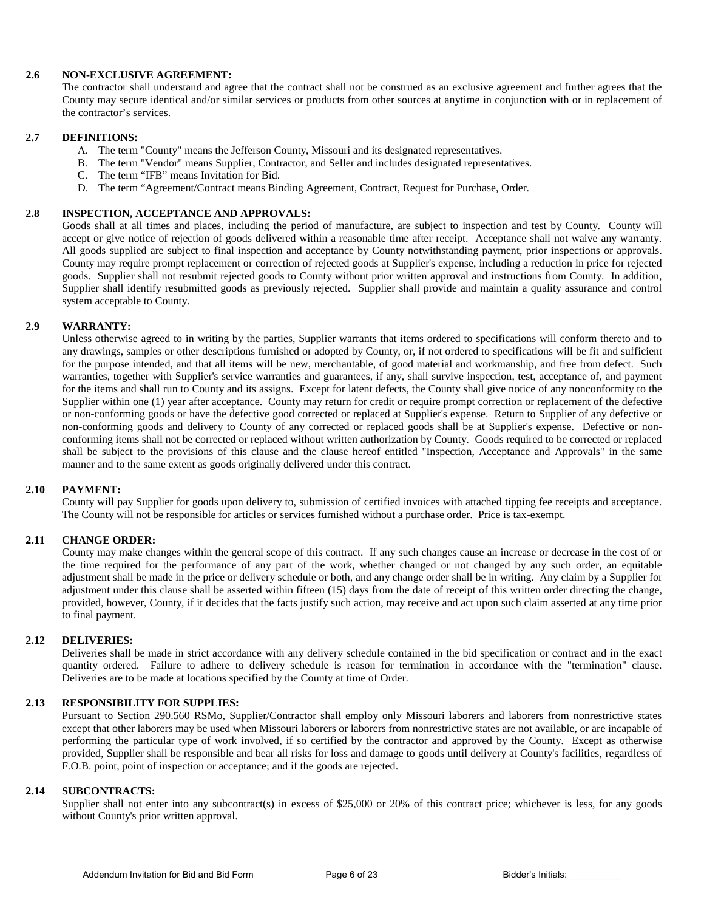#### **2.6 NON-EXCLUSIVE AGREEMENT:**

The contractor shall understand and agree that the contract shall not be construed as an exclusive agreement and further agrees that the County may secure identical and/or similar services or products from other sources at anytime in conjunction with or in replacement of the contractor's services.

#### **2.7 DEFINITIONS:**

- A. The term "County" means the Jefferson County, Missouri and its designated representatives.
- B. The term "Vendor" means Supplier, Contractor, and Seller and includes designated representatives.
- C. The term "IFB" means Invitation for Bid.
- D. The term "Agreement/Contract means Binding Agreement, Contract, Request for Purchase, Order.

#### **2.8 INSPECTION, ACCEPTANCE AND APPROVALS:**

Goods shall at all times and places, including the period of manufacture, are subject to inspection and test by County. County will accept or give notice of rejection of goods delivered within a reasonable time after receipt. Acceptance shall not waive any warranty. All goods supplied are subject to final inspection and acceptance by County notwithstanding payment, prior inspections or approvals. County may require prompt replacement or correction of rejected goods at Supplier's expense, including a reduction in price for rejected goods. Supplier shall not resubmit rejected goods to County without prior written approval and instructions from County. In addition, Supplier shall identify resubmitted goods as previously rejected. Supplier shall provide and maintain a quality assurance and control system acceptable to County.

#### **2.9 WARRANTY:**

Unless otherwise agreed to in writing by the parties, Supplier warrants that items ordered to specifications will conform thereto and to any drawings, samples or other descriptions furnished or adopted by County, or, if not ordered to specifications will be fit and sufficient for the purpose intended, and that all items will be new, merchantable, of good material and workmanship, and free from defect. Such warranties, together with Supplier's service warranties and guarantees, if any, shall survive inspection, test, acceptance of, and payment for the items and shall run to County and its assigns. Except for latent defects, the County shall give notice of any nonconformity to the Supplier within one (1) year after acceptance. County may return for credit or require prompt correction or replacement of the defective or non-conforming goods or have the defective good corrected or replaced at Supplier's expense. Return to Supplier of any defective or non-conforming goods and delivery to County of any corrected or replaced goods shall be at Supplier's expense. Defective or nonconforming items shall not be corrected or replaced without written authorization by County. Goods required to be corrected or replaced shall be subject to the provisions of this clause and the clause hereof entitled "Inspection, Acceptance and Approvals" in the same manner and to the same extent as goods originally delivered under this contract.

#### **2.10 PAYMENT:**

County will pay Supplier for goods upon delivery to, submission of certified invoices with attached tipping fee receipts and acceptance. The County will not be responsible for articles or services furnished without a purchase order. Price is tax-exempt.

#### **2.11 CHANGE ORDER:**

County may make changes within the general scope of this contract. If any such changes cause an increase or decrease in the cost of or the time required for the performance of any part of the work, whether changed or not changed by any such order, an equitable adjustment shall be made in the price or delivery schedule or both, and any change order shall be in writing. Any claim by a Supplier for adjustment under this clause shall be asserted within fifteen (15) days from the date of receipt of this written order directing the change, provided, however, County, if it decides that the facts justify such action, may receive and act upon such claim asserted at any time prior to final payment.

#### **2.12 DELIVERIES:**

Deliveries shall be made in strict accordance with any delivery schedule contained in the bid specification or contract and in the exact quantity ordered. Failure to adhere to delivery schedule is reason for termination in accordance with the "termination" clause. Deliveries are to be made at locations specified by the County at time of Order.

#### **2.13 RESPONSIBILITY FOR SUPPLIES:**

Pursuant to Section 290.560 RSMo, Supplier/Contractor shall employ only Missouri laborers and laborers from nonrestrictive states except that other laborers may be used when Missouri laborers or laborers from nonrestrictive states are not available, or are incapable of performing the particular type of work involved, if so certified by the contractor and approved by the County. Except as otherwise provided, Supplier shall be responsible and bear all risks for loss and damage to goods until delivery at County's facilities, regardless of F.O.B. point, point of inspection or acceptance; and if the goods are rejected.

#### **2.14 SUBCONTRACTS:**

Supplier shall not enter into any subcontract(s) in excess of \$25,000 or 20% of this contract price; whichever is less, for any goods without County's prior written approval.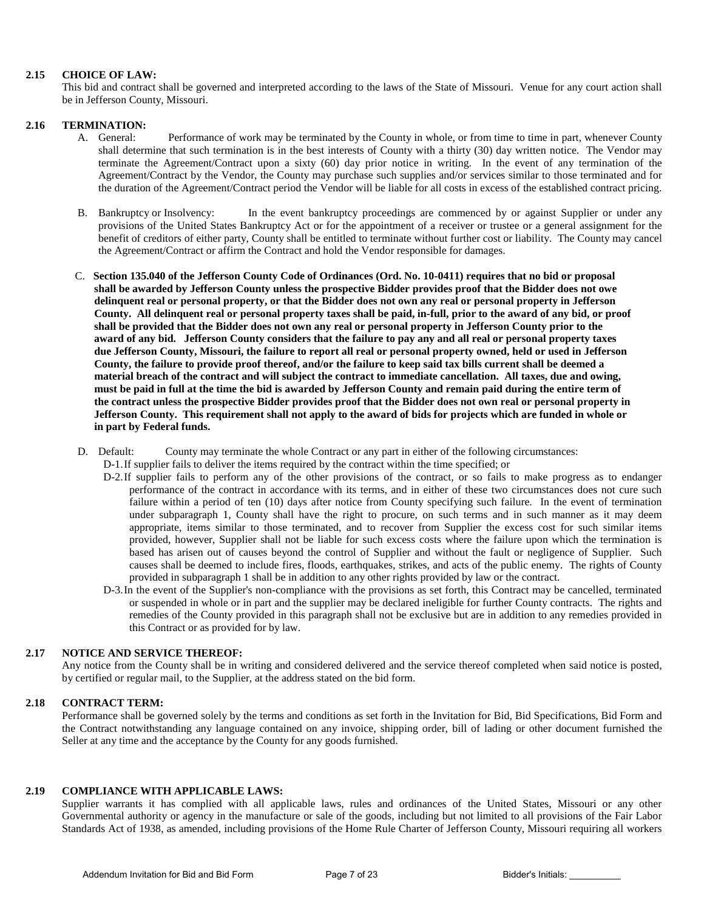#### **2.15 CHOICE OF LAW:**

This bid and contract shall be governed and interpreted according to the laws of the State of Missouri. Venue for any court action shall be in Jefferson County, Missouri.

#### **2.16 TERMINATION:**

- A. General: Performance of work may be terminated by the County in whole, or from time to time in part, whenever County shall determine that such termination is in the best interests of County with a thirty (30) day written notice. The Vendor may terminate the Agreement/Contract upon a sixty (60) day prior notice in writing. In the event of any termination of the Agreement/Contract by the Vendor, the County may purchase such supplies and/or services similar to those terminated and for the duration of the Agreement/Contract period the Vendor will be liable for all costs in excess of the established contract pricing.
- B. Bankruptcy or Insolvency: In the event bankruptcy proceedings are commenced by or against Supplier or under any provisions of the United States Bankruptcy Act or for the appointment of a receiver or trustee or a general assignment for the benefit of creditors of either party, County shall be entitled to terminate without further cost or liability. The County may cancel the Agreement/Contract or affirm the Contract and hold the Vendor responsible for damages.
- C. **Section 135.040 of the Jefferson County Code of Ordinances (Ord. No. 10-0411) requires that no bid or proposal shall be awarded by Jefferson County unless the prospective Bidder provides proof that the Bidder does not owe delinquent real or personal property, or that the Bidder does not own any real or personal property in Jefferson County. All delinquent real or personal property taxes shall be paid, in-full, prior to the award of any bid, or proof shall be provided that the Bidder does not own any real or personal property in Jefferson County prior to the award of any bid. Jefferson County considers that the failure to pay any and all real or personal property taxes due Jefferson County, Missouri, the failure to report all real or personal property owned, held or used in Jefferson County, the failure to provide proof thereof, and/or the failure to keep said tax bills current shall be deemed a material breach of the contract and will subject the contract to immediate cancellation. All taxes, due and owing, must be paid in full at the time the bid is awarded by Jefferson County and remain paid during the entire term of the contract unless the prospective Bidder provides proof that the Bidder does not own real or personal property in Jefferson County. This requirement shall not apply to the award of bids for projects which are funded in whole or in part by Federal funds.**
- D. Default: County may terminate the whole Contract or any part in either of the following circumstances:
	- D-1.If supplier fails to deliver the items required by the contract within the time specified; or
	- D-2.If supplier fails to perform any of the other provisions of the contract, or so fails to make progress as to endanger performance of the contract in accordance with its terms, and in either of these two circumstances does not cure such failure within a period of ten (10) days after notice from County specifying such failure. In the event of termination under subparagraph 1, County shall have the right to procure, on such terms and in such manner as it may deem appropriate, items similar to those terminated, and to recover from Supplier the excess cost for such similar items provided, however, Supplier shall not be liable for such excess costs where the failure upon which the termination is based has arisen out of causes beyond the control of Supplier and without the fault or negligence of Supplier. Such causes shall be deemed to include fires, floods, earthquakes, strikes, and acts of the public enemy. The rights of County provided in subparagraph 1 shall be in addition to any other rights provided by law or the contract.
	- D-3.In the event of the Supplier's non-compliance with the provisions as set forth, this Contract may be cancelled, terminated or suspended in whole or in part and the supplier may be declared ineligible for further County contracts. The rights and remedies of the County provided in this paragraph shall not be exclusive but are in addition to any remedies provided in this Contract or as provided for by law.

#### **2.17 NOTICE AND SERVICE THEREOF:**

Any notice from the County shall be in writing and considered delivered and the service thereof completed when said notice is posted, by certified or regular mail, to the Supplier, at the address stated on the bid form.

#### **2.18 CONTRACT TERM:**

Performance shall be governed solely by the terms and conditions as set forth in the Invitation for Bid, Bid Specifications, Bid Form and the Contract notwithstanding any language contained on any invoice, shipping order, bill of lading or other document furnished the Seller at any time and the acceptance by the County for any goods furnished.

#### **2.19 COMPLIANCE WITH APPLICABLE LAWS:**

Supplier warrants it has complied with all applicable laws, rules and ordinances of the United States, Missouri or any other Governmental authority or agency in the manufacture or sale of the goods, including but not limited to all provisions of the Fair Labor Standards Act of 1938, as amended, including provisions of the Home Rule Charter of Jefferson County, Missouri requiring all workers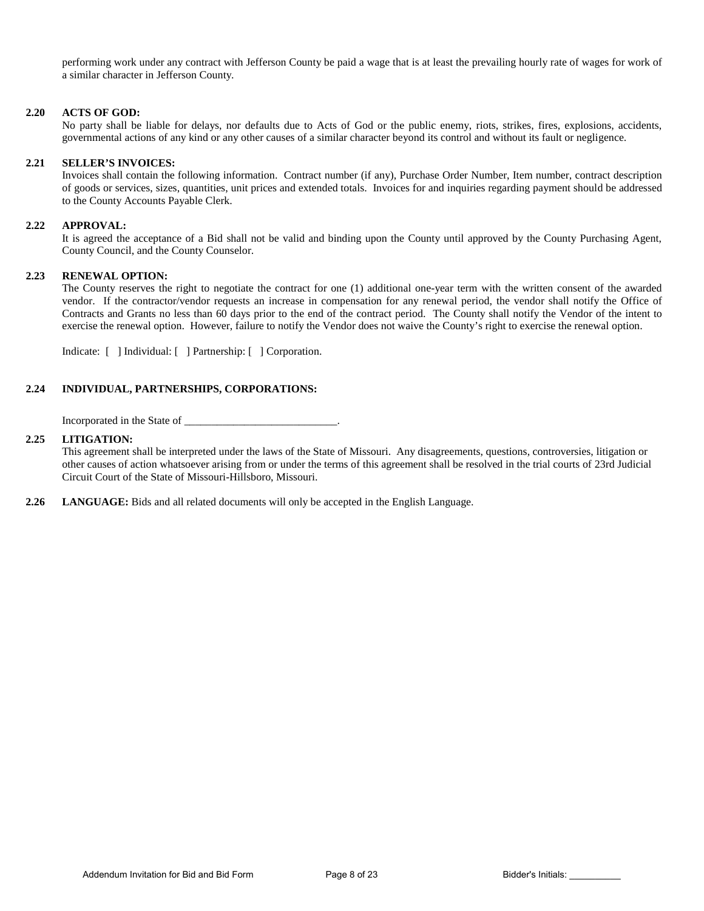performing work under any contract with Jefferson County be paid a wage that is at least the prevailing hourly rate of wages for work of a similar character in Jefferson County.

#### **2.20 ACTS OF GOD:**

No party shall be liable for delays, nor defaults due to Acts of God or the public enemy, riots, strikes, fires, explosions, accidents, governmental actions of any kind or any other causes of a similar character beyond its control and without its fault or negligence.

#### **2.21 SELLER'S INVOICES:**

Invoices shall contain the following information. Contract number (if any), Purchase Order Number, Item number, contract description of goods or services, sizes, quantities, unit prices and extended totals. Invoices for and inquiries regarding payment should be addressed to the County Accounts Payable Clerk.

#### **2.22 APPROVAL:**

It is agreed the acceptance of a Bid shall not be valid and binding upon the County until approved by the County Purchasing Agent, County Council, and the County Counselor.

#### **2.23 RENEWAL OPTION:**

The County reserves the right to negotiate the contract for one (1) additional one-year term with the written consent of the awarded vendor. If the contractor/vendor requests an increase in compensation for any renewal period, the vendor shall notify the Office of Contracts and Grants no less than 60 days prior to the end of the contract period. The County shall notify the Vendor of the intent to exercise the renewal option. However, failure to notify the Vendor does not waive the County's right to exercise the renewal option.

Indicate: [ ] Individual: [ ] Partnership: [ ] Corporation.

#### **2.24 INDIVIDUAL, PARTNERSHIPS, CORPORATIONS:**

Incorporated in the State of  $\blacksquare$ 

#### **2.25 LITIGATION:**

This agreement shall be interpreted under the laws of the State of Missouri. Any disagreements, questions, controversies, litigation or other causes of action whatsoever arising from or under the terms of this agreement shall be resolved in the trial courts of 23rd Judicial Circuit Court of the State of Missouri-Hillsboro, Missouri.

**2.26 LANGUAGE:** Bids and all related documents will only be accepted in the English Language.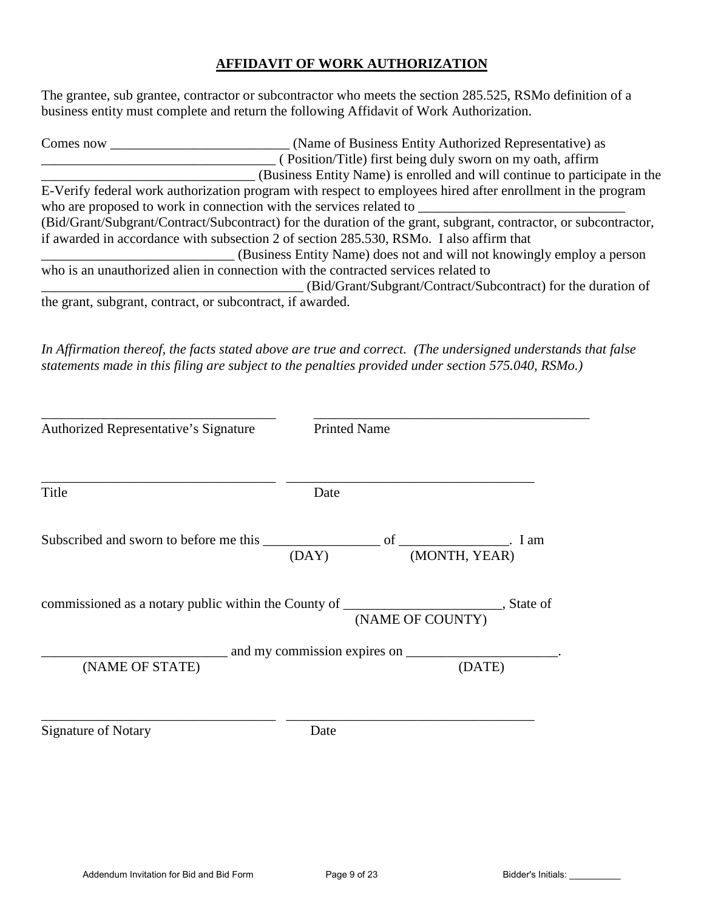### **AFFIDAVIT OF WORK AUTHORIZATION**

The grantee, sub grantee, contractor or subcontractor who meets the section 285.525, RSMo definition of a business entity must complete and return the following Affidavit of Work Authorization.

| Comes now | (Name of Business Entity Authorized Representative) as                                                           |
|-----------|------------------------------------------------------------------------------------------------------------------|
|           | (Position/Title) first being duly sworn on my oath, affirm                                                       |
|           | (Business Entity Name) is enrolled and will continue to participate in the                                       |
|           | E-Verify federal work authorization program with respect to employees hired after enrollment in the program      |
|           | who are proposed to work in connection with the services related to                                              |
|           | (Bid/Grant/Subgrant/Contract/Subcontract) for the duration of the grant, subgrant, contractor, or subcontractor, |
|           | if awarded in accordance with subsection 2 of section 285.530, RSMo. I also affirm that                          |
|           | (Business Entity Name) does not and will not knowingly employ a person                                           |
|           | who is an unauthorized alien in connection with the contracted services related to                               |
|           | (Bid/Grant/Subgrant/Contract/Subcontract) for the duration of                                                    |
|           | the grant, subgrant, contract, or subcontract, if awarded.                                                       |

*In Affirmation thereof, the facts stated above are true and correct. (The undersigned understands that false statements made in this filing are subject to the penalties provided under section 575.040, RSMo.)* 

| Authorized Representative's Signature                                                    | <b>Printed Name</b> |                  |        |
|------------------------------------------------------------------------------------------|---------------------|------------------|--------|
| Title                                                                                    | Date                |                  |        |
|                                                                                          | (DAY)               | (MONTH, YEAR)    |        |
| commissioned as a notary public within the County of _________________________, State of |                     | (NAME OF COUNTY) |        |
|                                                                                          |                     |                  |        |
| (NAME OF STATE)                                                                          |                     |                  | (DATE) |
| <b>Signature of Notary</b>                                                               | Date                |                  |        |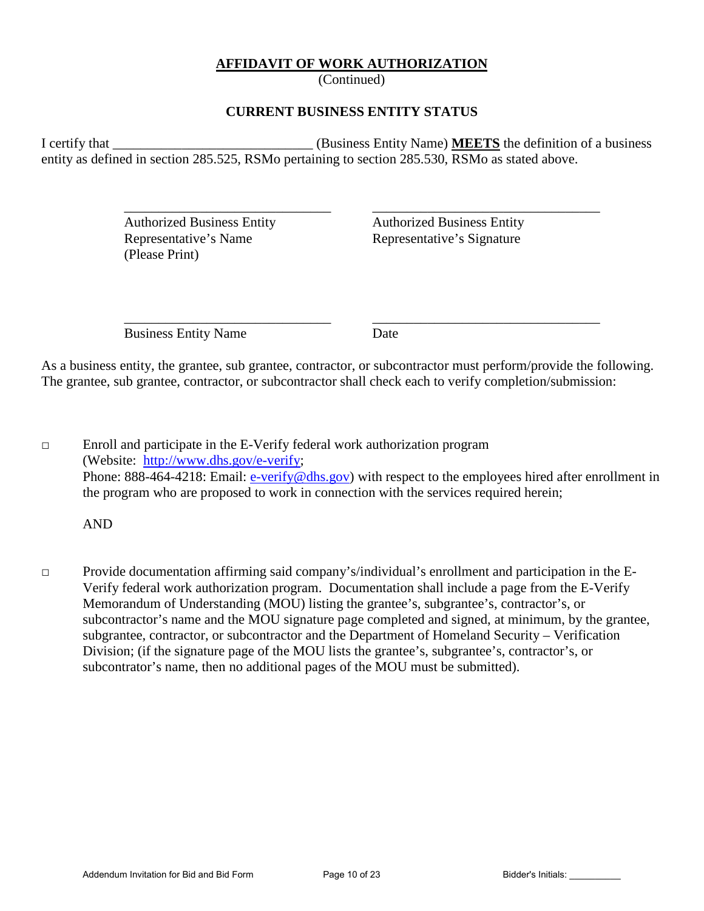### **AFFIDAVIT OF WORK AUTHORIZATION**

(Continued)

### **CURRENT BUSINESS ENTITY STATUS**

I certify that \_\_\_\_\_\_\_\_\_\_\_\_\_\_\_\_\_\_\_\_\_\_\_\_\_\_\_\_\_ (Business Entity Name) **MEETS** the definition of a business entity as defined in section 285.525, RSMo pertaining to section 285.530, RSMo as stated above.

 $\overline{\phantom{a}}$  ,  $\overline{\phantom{a}}$  ,  $\overline{\phantom{a}}$  ,  $\overline{\phantom{a}}$  ,  $\overline{\phantom{a}}$  ,  $\overline{\phantom{a}}$  ,  $\overline{\phantom{a}}$  ,  $\overline{\phantom{a}}$  ,  $\overline{\phantom{a}}$  ,  $\overline{\phantom{a}}$  ,  $\overline{\phantom{a}}$  ,  $\overline{\phantom{a}}$  ,  $\overline{\phantom{a}}$  ,  $\overline{\phantom{a}}$  ,  $\overline{\phantom{a}}$  ,  $\overline{\phantom{a}}$ 

 Authorized Business Entity Authorized Business Entity Representative's Name Representative's Signature (Please Print)

Business Entity Name Date

 $\overline{\phantom{a}}$  ,  $\overline{\phantom{a}}$  ,  $\overline{\phantom{a}}$  ,  $\overline{\phantom{a}}$  ,  $\overline{\phantom{a}}$  ,  $\overline{\phantom{a}}$  ,  $\overline{\phantom{a}}$  ,  $\overline{\phantom{a}}$  ,  $\overline{\phantom{a}}$  ,  $\overline{\phantom{a}}$  ,  $\overline{\phantom{a}}$  ,  $\overline{\phantom{a}}$  ,  $\overline{\phantom{a}}$  ,  $\overline{\phantom{a}}$  ,  $\overline{\phantom{a}}$  ,  $\overline{\phantom{a}}$ 

As a business entity, the grantee, sub grantee, contractor, or subcontractor must perform/provide the following. The grantee, sub grantee, contractor, or subcontractor shall check each to verify completion/submission:

□ Enroll and participate in the E-Verify federal work authorization program (Website: [http://www.dhs.gov/e-verify;](http://www.dhs.gov/e-verify) Phone: 888-464-4218: Email: [e-verify@dhs.gov\)](mailto:e-verify@dhs.gov) with respect to the employees hired after enrollment in the program who are proposed to work in connection with the services required herein;

AND

□ Provide documentation affirming said company's/individual's enrollment and participation in the E-Verify federal work authorization program. Documentation shall include a page from the E-Verify Memorandum of Understanding (MOU) listing the grantee's, subgrantee's, contractor's, or subcontractor's name and the MOU signature page completed and signed, at minimum, by the grantee, subgrantee, contractor, or subcontractor and the Department of Homeland Security – Verification Division; (if the signature page of the MOU lists the grantee's, subgrantee's, contractor's, or subcontrator's name, then no additional pages of the MOU must be submitted).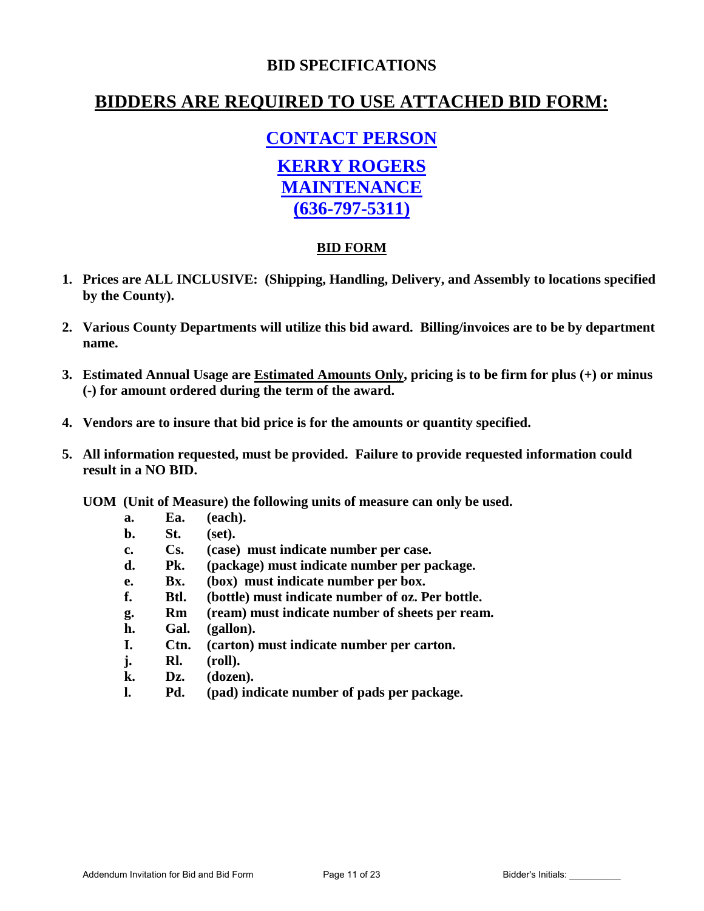## **BID SPECIFICATIONS**

## **BIDDERS ARE REQUIRED TO USE ATTACHED BID FORM:**

# **CONTACT PERSON**

## **KERRY ROGERS MAINTENANCE (636-797-5311)**

### **BID FORM**

- **1. Prices are ALL INCLUSIVE: (Shipping, Handling, Delivery, and Assembly to locations specified by the County).**
- **2. Various County Departments will utilize this bid award. Billing/invoices are to be by department name.**
- **3. Estimated Annual Usage are Estimated Amounts Only, pricing is to be firm for plus (+) or minus (-) for amount ordered during the term of the award.**
- **4. Vendors are to insure that bid price is for the amounts or quantity specified.**
- **5. All information requested, must be provided. Failure to provide requested information could result in a NO BID.**

**UOM (Unit of Measure) the following units of measure can only be used.**

- **a. Ea. (each).**
- **b. St. (set).**
- **c. Cs. (case) must indicate number per case.**
- **d. Pk. (package) must indicate number per package.**
- **e. Bx. (box) must indicate number per box.**
- **f. Btl. (bottle) must indicate number of oz. Per bottle.**
- **g. Rm (ream) must indicate number of sheets per ream.**
- **h. Gal. (gallon).**
- **I. Ctn. (carton) must indicate number per carton.**
- **j. Rl. (roll).**
- **k. Dz. (dozen).**
- **l. Pd. (pad) indicate number of pads per package.**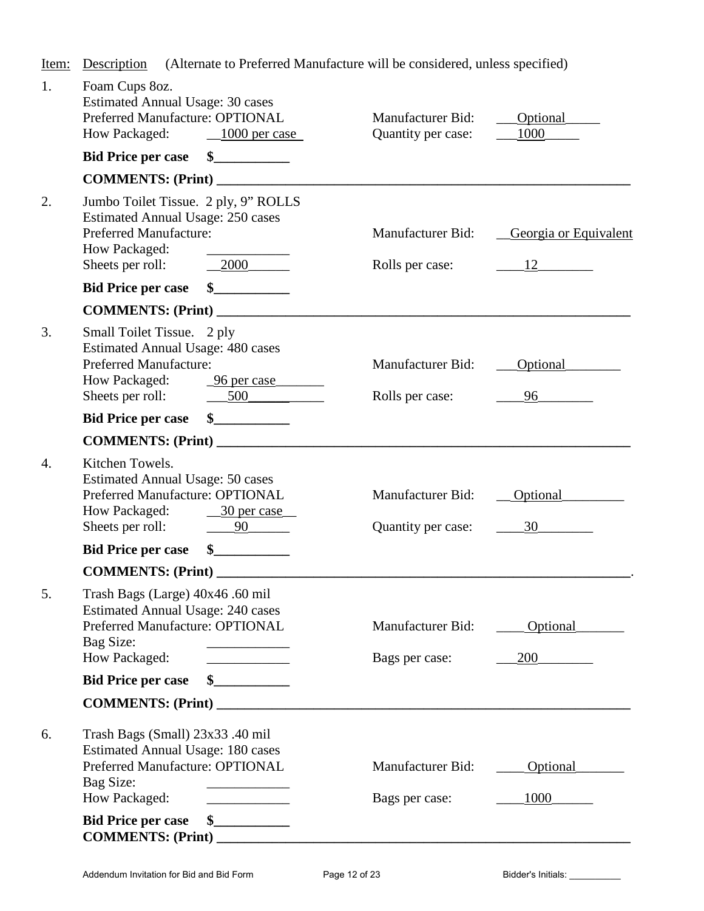Item: Description (Alternate to Preferred Manufacture will be considered, unless specified)

| 1. | Foam Cups 8oz.<br><b>Estimated Annual Usage: 30 cases</b><br>Preferred Manufacture: OPTIONAL<br>How Packaged: 1000 per case                                                                                                                                                           | Manufacturer Bid:<br>Quantity per case:     | <b>Optional</b><br>1000                 |
|----|---------------------------------------------------------------------------------------------------------------------------------------------------------------------------------------------------------------------------------------------------------------------------------------|---------------------------------------------|-----------------------------------------|
|    | Bid Price per case \$                                                                                                                                                                                                                                                                 |                                             |                                         |
|    | COMMENTS: (Print)                                                                                                                                                                                                                                                                     |                                             |                                         |
| 2. | Jumbo Toilet Tissue. 2 ply, 9" ROLLS<br>Estimated Annual Usage: 250 cases<br><b>Preferred Manufacture:</b><br>How Packaged:<br>$-2000$<br>Sheets per roll:                                                                                                                            | <b>Manufacturer Bid:</b><br>Rolls per case: | Georgia or Equivalent<br>$\frac{12}{2}$ |
|    | $\sim$<br><b>Bid Price per case</b>                                                                                                                                                                                                                                                   |                                             |                                         |
|    | COMMENTS: (Print)                                                                                                                                                                                                                                                                     |                                             |                                         |
| 3. | Small Toilet Tissue. 2 ply<br><b>Estimated Annual Usage: 480 cases</b><br><b>Preferred Manufacture:</b><br>How Packaged:<br><u>96 per case</u><br>Sheets per roll: 500                                                                                                                | Manufacturer Bid:<br>Rolls per case:        | Optional<br>96 — 100                    |
|    | <b>Bid Price per case</b>                                                                                                                                                                                                                                                             |                                             |                                         |
|    |                                                                                                                                                                                                                                                                                       |                                             |                                         |
| 4. | Kitchen Towels.<br><b>Estimated Annual Usage: 50 cases</b><br>Preferred Manufacture: OPTIONAL<br><b>How Packaged:</b><br>$-30$ per case<br>Sheets per roll: $\qquad \qquad \underline{\qquad 90}$                                                                                     | Manufacturer Bid:<br>Quantity per case:     | Optional<br>30 <sup>1</sup>             |
|    | $\frac{1}{2}$<br><b>Bid Price per case</b>                                                                                                                                                                                                                                            |                                             |                                         |
|    | <b>COMMENTS: (Print)</b>                                                                                                                                                                                                                                                              |                                             |                                         |
| 5  | Trash Bags (Large) 40x46 .60 mil<br><b>Estimated Annual Usage: 240 cases</b><br>Preferred Manufacture: OPTIONAL<br>Bag Size:<br>How Packaged:                                                                                                                                         | Manufacturer Bid:<br>Bags per case:         | Optional<br>200                         |
|    | <b>Bid Price per case</b>                                                                                                                                                                                                                                                             |                                             |                                         |
|    | COMMENTS: (Print)                                                                                                                                                                                                                                                                     |                                             |                                         |
| 6. | Trash Bags (Small) 23x33 .40 mil<br><b>Estimated Annual Usage: 180 cases</b><br>Preferred Manufacture: OPTIONAL<br>Bag Size:<br>How Packaged:<br><u> 1999 - John Barn Barn, amerikansk politiker</u><br><b>Bid Price per case</b><br>$\frac{\text{S}}{\text{S}}$<br>COMMENTS: (Print) | Manufacturer Bid:<br>Bags per case:         | Optional<br>1000_                       |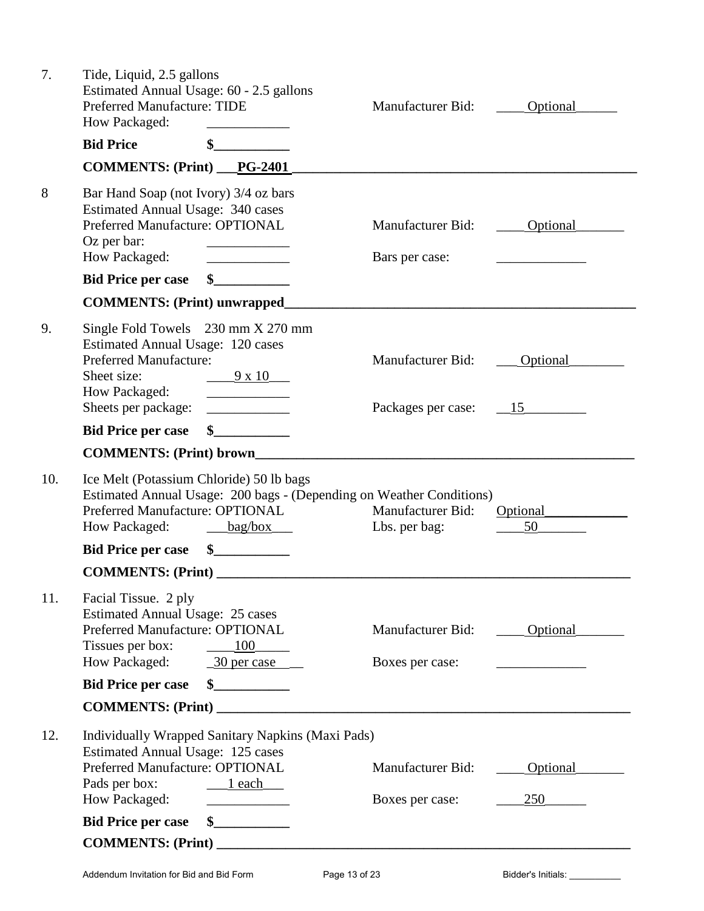| 7.  | Tide, Liquid, 2.5 gallons<br>Estimated Annual Usage: 60 - 2.5 gallons<br>Preferred Manufacture: TIDE<br>How Packaged:                                                                                       | <b>Manufacturer Bid:</b>                   | Optional        |
|-----|-------------------------------------------------------------------------------------------------------------------------------------------------------------------------------------------------------------|--------------------------------------------|-----------------|
|     | <b>Bid Price</b><br>\$                                                                                                                                                                                      |                                            |                 |
|     | COMMENTS: (Print) __PG-2401                                                                                                                                                                                 |                                            |                 |
| 8   | Bar Hand Soap (not Ivory) 3/4 oz bars<br><b>Estimated Annual Usage: 340 cases</b><br>Preferred Manufacture: OPTIONAL<br>Oz per bar:<br>How Packaged:                                                        | Manufacturer Bid:<br>Bars per case:        | Optional        |
|     | <b>Bid Price per case</b><br>$\frac{1}{2}$                                                                                                                                                                  |                                            |                 |
|     | <b>COMMENTS: (Print) unwrapped</b>                                                                                                                                                                          |                                            |                 |
| 9.  | Single Fold Towels 230 mm X 270 mm<br><b>Estimated Annual Usage: 120 cases</b><br><b>Preferred Manufacture:</b><br>Sheet size:<br>$-9 \times 10$<br>How Packaged:<br>Sheets per package:                    | Manufacturer Bid:<br>Packages per case: 15 | Optional        |
|     | $\frac{1}{2}$<br><b>Bid Price per case</b>                                                                                                                                                                  |                                            |                 |
|     | <b>COMMENTS: (Print) brown</b>                                                                                                                                                                              |                                            |                 |
| 10. | Ice Melt (Potassium Chloride) 50 lb bags<br>Estimated Annual Usage: 200 bags - (Depending on Weather Conditions)<br>Preferred Manufacture: OPTIONAL<br>How Packaged:<br>bag/box<br>$\overline{\phantom{a}}$ | Manufacturer Bid:<br>Lbs. per bag:         | Optional<br>50  |
|     | $\mathbf{s}$<br><b>Bid Price per case</b>                                                                                                                                                                   |                                            |                 |
|     |                                                                                                                                                                                                             |                                            |                 |
| 11. | Facial Tissue. 2 ply<br><b>Estimated Annual Usage: 25 cases</b><br>Preferred Manufacture: OPTIONAL<br>Tissues per box:<br>100<br>How Packaged:<br>$\frac{30 \text{ per case}}{20 \text{ per case}}$         | Manufacturer Bid:<br>Boxes per case:       | Optional        |
|     | <u>and the second second</u><br>\$<br><b>Bid Price per case</b>                                                                                                                                             |                                            |                 |
|     | COMMENTS: (Print)                                                                                                                                                                                           |                                            |                 |
| 12. | Individually Wrapped Sanitary Napkins (Maxi Pads)<br>Estimated Annual Usage: 125 cases<br>Preferred Manufacture: OPTIONAL<br>Pads per box:<br>$\frac{1}{2}$ each<br>How Packaged:                           | Manufacturer Bid:<br>Boxes per case:       | Optional<br>250 |
|     | <b>Bid Price per case</b><br>$\sim$                                                                                                                                                                         |                                            |                 |
|     |                                                                                                                                                                                                             |                                            |                 |
|     |                                                                                                                                                                                                             |                                            |                 |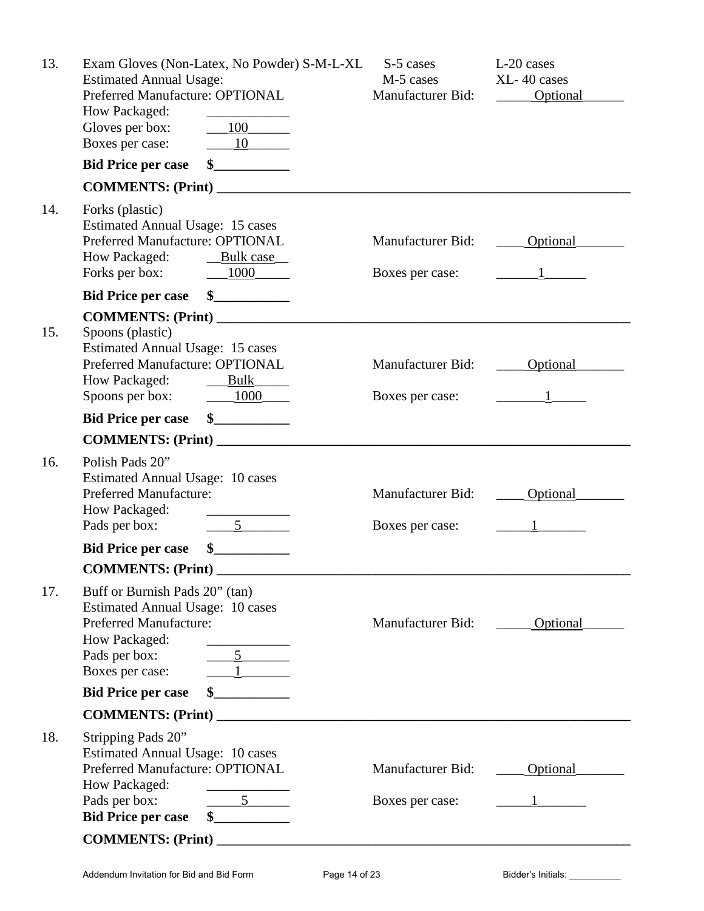| 13. | Exam Gloves (Non-Latex, No Powder) S-M-L-XL<br><b>Estimated Annual Usage:</b><br>Preferred Manufacture: OPTIONAL                                                                                                                                                                                                                                                                                                                                                                                                                                                                                       | S-5 cases<br>M-5 cases<br>Manufacturer Bid: | L-20 cases<br>XL-40 cases<br>Optional |
|-----|--------------------------------------------------------------------------------------------------------------------------------------------------------------------------------------------------------------------------------------------------------------------------------------------------------------------------------------------------------------------------------------------------------------------------------------------------------------------------------------------------------------------------------------------------------------------------------------------------------|---------------------------------------------|---------------------------------------|
|     | How Packaged:<br>$-100$<br>Gloves per box:                                                                                                                                                                                                                                                                                                                                                                                                                                                                                                                                                             |                                             |                                       |
|     | $\underline{\qquad 10}$<br>Boxes per case:                                                                                                                                                                                                                                                                                                                                                                                                                                                                                                                                                             |                                             |                                       |
|     | $\frac{1}{2}$<br><b>Bid Price per case</b>                                                                                                                                                                                                                                                                                                                                                                                                                                                                                                                                                             |                                             |                                       |
|     | COMMENTS: (Print)                                                                                                                                                                                                                                                                                                                                                                                                                                                                                                                                                                                      |                                             |                                       |
| 14. | Forks (plastic)<br><b>Estimated Annual Usage: 15 cases</b><br>Preferred Manufacture: OPTIONAL<br>How Packaged:<br>Bulk case<br>Forks per box: 1000                                                                                                                                                                                                                                                                                                                                                                                                                                                     | Manufacturer Bid:<br>Boxes per case:        |                                       |
|     | Bid Price per case \$                                                                                                                                                                                                                                                                                                                                                                                                                                                                                                                                                                                  |                                             |                                       |
| 15. | Spoons (plastic)<br><b>Estimated Annual Usage: 15 cases</b><br>Preferred Manufacture: OPTIONAL<br>How Packaged:<br>Bulk<br>Spoons per box: $\underline{\qquad 1000}$                                                                                                                                                                                                                                                                                                                                                                                                                                   | <b>Manufacturer Bid:</b><br>Boxes per case: |                                       |
|     | $\frac{1}{2}$<br><b>Bid Price per case</b>                                                                                                                                                                                                                                                                                                                                                                                                                                                                                                                                                             |                                             |                                       |
|     |                                                                                                                                                                                                                                                                                                                                                                                                                                                                                                                                                                                                        |                                             |                                       |
| 16. | Polish Pads 20"<br><b>Estimated Annual Usage: 10 cases</b><br><b>Preferred Manufacture:</b><br>How Packaged:<br>$\frac{5}{2}$<br>Pads per box:                                                                                                                                                                                                                                                                                                                                                                                                                                                         | Manufacturer Bid:<br>Boxes per case:        | Optional                              |
|     | $\mathbf{\$}$<br><b>Bid Price per case</b>                                                                                                                                                                                                                                                                                                                                                                                                                                                                                                                                                             |                                             |                                       |
|     | COMMENTS: (Print) _                                                                                                                                                                                                                                                                                                                                                                                                                                                                                                                                                                                    |                                             |                                       |
| 17. | Buff or Burnish Pads 20" (tan)<br><b>Estimated Annual Usage: 10 cases</b><br><b>Preferred Manufacture:</b><br>How Packaged:<br>$\frac{5}{2}$<br>Pads per box:<br>$\frac{1}{\sqrt{1-\frac{1}{2}}}\frac{1}{\sqrt{1-\frac{1}{2}}\sqrt{1-\frac{1}{2}}\sqrt{1-\frac{1}{2}}\sqrt{1-\frac{1}{2}}\sqrt{1-\frac{1}{2}}\sqrt{1-\frac{1}{2}}\sqrt{1-\frac{1}{2}}\sqrt{1-\frac{1}{2}}\sqrt{1-\frac{1}{2}}\sqrt{1-\frac{1}{2}}\sqrt{1-\frac{1}{2}}\sqrt{1-\frac{1}{2}}\sqrt{1-\frac{1}{2}}\sqrt{1-\frac{1}{2}}\sqrt{1-\frac{1}{2}}\sqrt{1-\frac{1}{2}}\sqrt{1-\frac{1}{2}}\sqrt{1-\frac{1}{2}}\$<br>Boxes per case: | Manufacturer Bid:                           | Optional                              |
|     | $\sim$<br><b>Bid Price per case</b>                                                                                                                                                                                                                                                                                                                                                                                                                                                                                                                                                                    |                                             |                                       |
|     | COMMENTS: (Print)                                                                                                                                                                                                                                                                                                                                                                                                                                                                                                                                                                                      |                                             |                                       |
| 18. | Stripping Pads 20"<br>Estimated Annual Usage: 10 cases<br>Preferred Manufacture: OPTIONAL<br>How Packaged:<br>Pads per box:<br>$\frac{5}{2}$<br><b>Bid Price per case</b><br>$\sim$                                                                                                                                                                                                                                                                                                                                                                                                                    | <b>Manufacturer Bid:</b><br>Boxes per case: | Optional                              |
|     | COMMENTS: (Print)                                                                                                                                                                                                                                                                                                                                                                                                                                                                                                                                                                                      |                                             |                                       |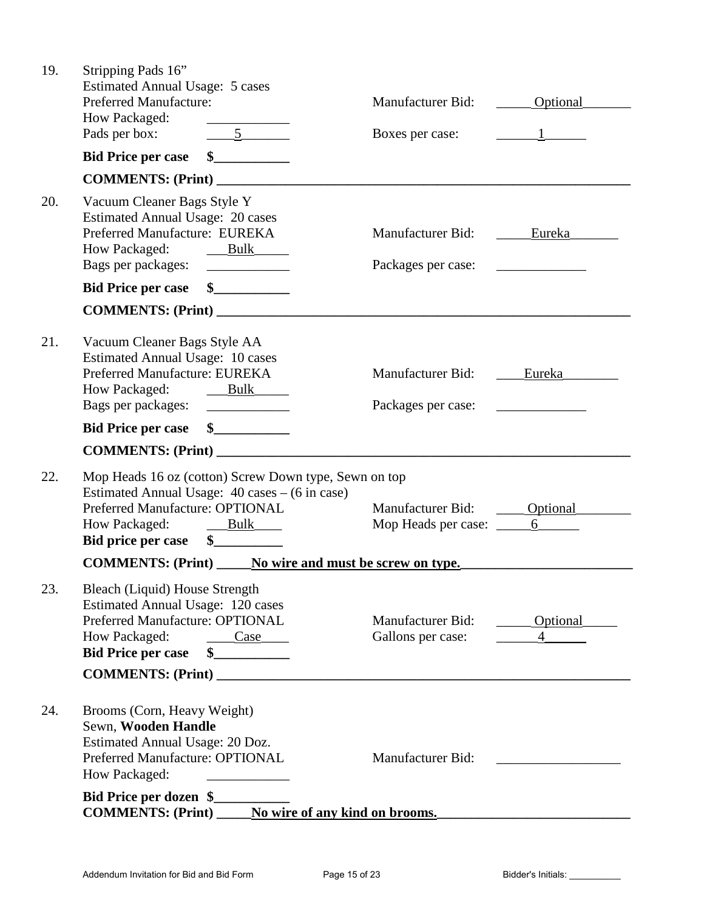| 19. | Stripping Pads 16"<br><b>Estimated Annual Usage: 5 cases</b>                                                                                                                                                                   |                                                             |                            |
|-----|--------------------------------------------------------------------------------------------------------------------------------------------------------------------------------------------------------------------------------|-------------------------------------------------------------|----------------------------|
|     | <b>Preferred Manufacture:</b><br>How Packaged:<br><u> The Common State Common State Common</u>                                                                                                                                 | Manufacturer Bid: _______ Optional                          |                            |
|     | Pads per box: 5                                                                                                                                                                                                                | Boxes per case: $1 \t 1$                                    |                            |
|     | s<br><b>Bid Price per case</b>                                                                                                                                                                                                 |                                                             |                            |
|     | COMMENTS: (Print)                                                                                                                                                                                                              |                                                             |                            |
| 20. | Vacuum Cleaner Bags Style Y<br><b>Estimated Annual Usage: 20 cases</b><br>Preferred Manufacture: EUREKA<br>How Packaged: Bulk<br>Bags per packages:                                                                            | <b>Manufacturer Bid:</b><br>Packages per case:              | Eureka                     |
|     | Bid Price per case \$                                                                                                                                                                                                          |                                                             |                            |
|     |                                                                                                                                                                                                                                |                                                             |                            |
| 21. | Vacuum Cleaner Bags Style AA<br><b>Estimated Annual Usage: 10 cases</b><br>Preferred Manufacture: EUREKA<br>How Packaged:<br>Bulk<br>Bags per packages:                                                                        | Manufacturer Bid:<br>Packages per case:                     | Eureka                     |
|     | Bid Price per case \$                                                                                                                                                                                                          |                                                             |                            |
|     |                                                                                                                                                                                                                                |                                                             |                            |
| 22. | Mop Heads 16 oz (cotton) Screw Down type, Sewn on top                                                                                                                                                                          |                                                             |                            |
|     | Estimated Annual Usage: 40 cases – (6 in case)<br>Preferred Manufacture: OPTIONAL<br>How Packaged: Bulk<br><b>Bid price per case</b><br>$\sim$                                                                                 | Manufacturer Bid: _______ Optional<br>Mop Heads per case: 6 |                            |
|     | <b>COMMENTS:</b> (Print) No wire and must be screw on type.                                                                                                                                                                    |                                                             |                            |
| 23. | Bleach (Liquid) House Strength<br>Estimated Annual Usage: 120 cases<br>Preferred Manufacture: OPTIONAL<br>How Packaged:<br>Case<br><b>Bid Price per case</b><br>COMMENTS: (Print)                                              | Manufacturer Bid:<br>Gallons per case:                      | Optional<br>$\overline{4}$ |
| 24. | Brooms (Corn, Heavy Weight)<br>Sewn, Wooden Handle<br>Estimated Annual Usage: 20 Doz.<br>Preferred Manufacture: OPTIONAL<br>How Packaged:<br>Bid Price per dozen \$<br><b>COMMENTS:</b> (Print) No wire of any kind on brooms. | Manufacturer Bid:                                           |                            |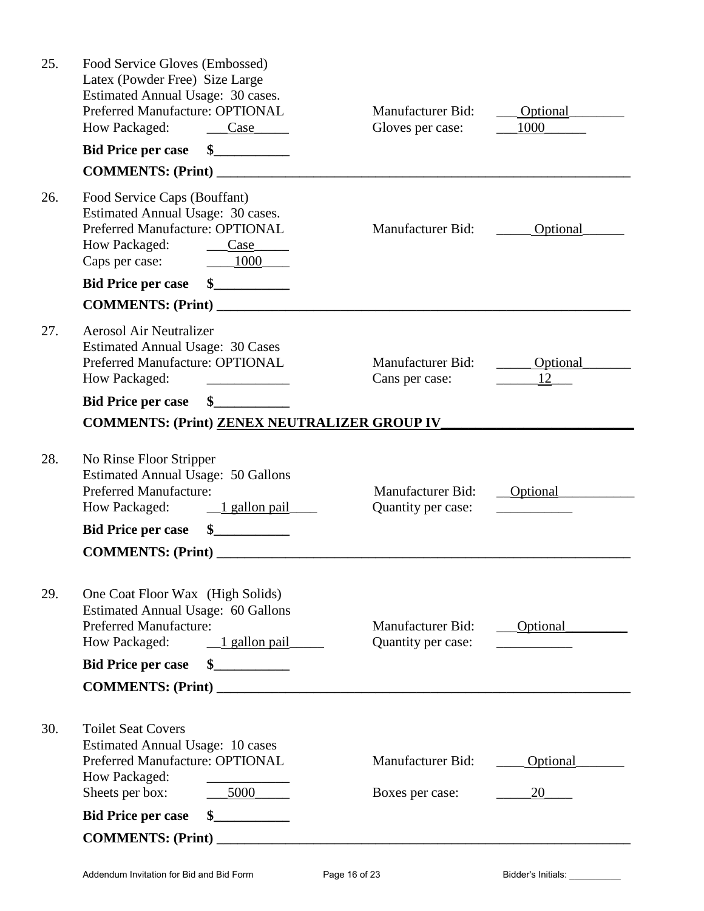|     | <b>COMMENTS: (Print)</b>                                                                                                                                            |                                                |                  |
|-----|---------------------------------------------------------------------------------------------------------------------------------------------------------------------|------------------------------------------------|------------------|
|     | <u> 1999 - Johann Barnett, f</u><br>$\mathbf{\$}$<br><b>Bid Price per case</b>                                                                                      |                                                |                  |
| 30. | <b>Toilet Seat Covers</b><br><b>Estimated Annual Usage: 10 cases</b><br>Preferred Manufacture: OPTIONAL<br>How Packaged:<br>Sheets per box:<br>5000                 | <b>Manufacturer Bid:</b><br>Boxes per case:    | Optional<br>20   |
|     | COMMENTS: (Print)                                                                                                                                                   |                                                |                  |
|     | <b>Bid Price per case</b>                                                                                                                                           |                                                |                  |
| 29. | One Coat Floor Wax (High Solids)<br><b>Estimated Annual Usage: 60 Gallons</b><br><b>Preferred Manufacture:</b><br>How Packaged:<br>$\frac{1 \text{ gallon pair}}{}$ | <b>Manufacturer Bid:</b><br>Quantity per case: | <b>Optional</b>  |
|     | <b>COMMENTS: (Print)</b>                                                                                                                                            |                                                |                  |
|     | $\int$<br><b>Bid Price per case</b>                                                                                                                                 |                                                |                  |
| 28. | No Rinse Floor Stripper<br><b>Estimated Annual Usage: 50 Gallons</b><br><b>Preferred Manufacture:</b><br>$\frac{1 \text{ gallon pair}}{}$<br>How Packaged:          | <b>Manufacturer Bid:</b><br>Quantity per case: | Optional         |
|     | <b>COMMENTS: (Print) ZENEX NEUTRALIZER GROUP IV</b>                                                                                                                 |                                                |                  |
|     | \$<br><b>Bid Price per case</b>                                                                                                                                     |                                                |                  |
| 27. | <b>Aerosol Air Neutralizer</b><br><b>Estimated Annual Usage: 30 Cases</b><br>Preferred Manufacture: OPTIONAL<br>How Packaged:                                       | <b>Manufacturer Bid:</b><br>Cans per case:     | Optional<br>12   |
|     |                                                                                                                                                                     |                                                |                  |
|     | $\frac{\sim}{\sim}$<br><b>Bid Price per case</b>                                                                                                                    |                                                |                  |
| 26. | Food Service Caps (Bouffant)<br>Estimated Annual Usage: 30 cases.<br>Preferred Manufacture: OPTIONAL<br>How Packaged:<br>$\csc$<br>Caps per case: 1000              | Manufacturer Bid:                              | Optional         |
|     |                                                                                                                                                                     |                                                |                  |
|     | $\sim$<br><b>Bid Price per case</b>                                                                                                                                 |                                                |                  |
| 25. | Food Service Gloves (Embossed)<br>Latex (Powder Free) Size Large<br>Estimated Annual Usage: 30 cases.<br>Preferred Manufacture: OPTIONAL<br>How Packaged:<br>Case   | <b>Manufacturer Bid:</b><br>Gloves per case:   | Optional<br>1000 |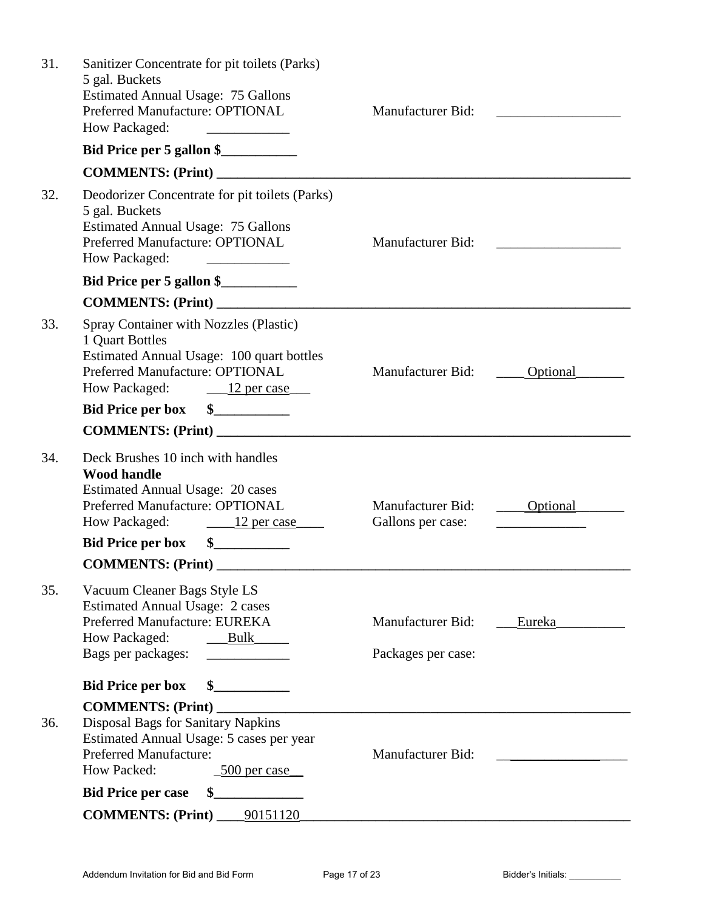| 31. | Sanitizer Concentrate for pit toilets (Parks)<br>5 gal. Buckets<br><b>Estimated Annual Usage: 75 Gallons</b><br>Preferred Manufacture: OPTIONAL<br>How Packaged:                                                                                                                           | Manufacturer Bid:                       |          |
|-----|--------------------------------------------------------------------------------------------------------------------------------------------------------------------------------------------------------------------------------------------------------------------------------------------|-----------------------------------------|----------|
|     | Bid Price per 5 gallon \$                                                                                                                                                                                                                                                                  |                                         |          |
|     |                                                                                                                                                                                                                                                                                            |                                         |          |
| 32. | Deodorizer Concentrate for pit toilets (Parks)<br>5 gal. Buckets<br><b>Estimated Annual Usage: 75 Gallons</b><br>Preferred Manufacture: OPTIONAL<br>How Packaged:<br><u> Alexandria de Alexandria de Alexandria de Alexandria de Alexandria de Alexandria de Alexandria de Alexandria </u> | Manufacturer Bid:                       |          |
|     | Bid Price per 5 gallon \$                                                                                                                                                                                                                                                                  |                                         |          |
|     |                                                                                                                                                                                                                                                                                            |                                         |          |
| 33. | Spray Container with Nozzles (Plastic)<br>1 Quart Bottles<br>Estimated Annual Usage: 100 quart bottles<br>Preferred Manufacture: OPTIONAL<br>How Packaged: 12 per case                                                                                                                     | Manufacturer Bid:                       | Optional |
|     | $\sim$<br><b>Bid Price per box</b>                                                                                                                                                                                                                                                         |                                         |          |
|     |                                                                                                                                                                                                                                                                                            |                                         |          |
| 34. | Deck Brushes 10 inch with handles<br><b>Wood handle</b><br><b>Estimated Annual Usage: 20 cases</b><br>Preferred Manufacture: OPTIONAL<br>How Packaged: 12 per case<br>Bid Price per box \$<br><b>COMMENTS: (Print)</b>                                                                     | Manufacturer Bid:<br>Gallons per case:  | Optional |
| 35. | Vacuum Cleaner Bags Style LS<br><b>Estimated Annual Usage: 2 cases</b><br>Preferred Manufacture: EUREKA<br>How Packaged:<br>Bulk<br>Bags per packages:                                                                                                                                     | Manufacturer Bid:<br>Packages per case: | Eureka   |
|     | <b>Bid Price per box</b>                                                                                                                                                                                                                                                                   |                                         |          |
| 36. | <b>COMMENTS: (Print)</b><br>Disposal Bags for Sanitary Napkins<br>Estimated Annual Usage: 5 cases per year<br><b>Preferred Manufacture:</b><br>How Packed:<br><u>500 per case</u>                                                                                                          | Manufacturer Bid:                       |          |
|     | <b>Bid Price per case</b>                                                                                                                                                                                                                                                                  |                                         |          |
|     | <b>COMMENTS: (Print)</b><br>_90151120_                                                                                                                                                                                                                                                     |                                         |          |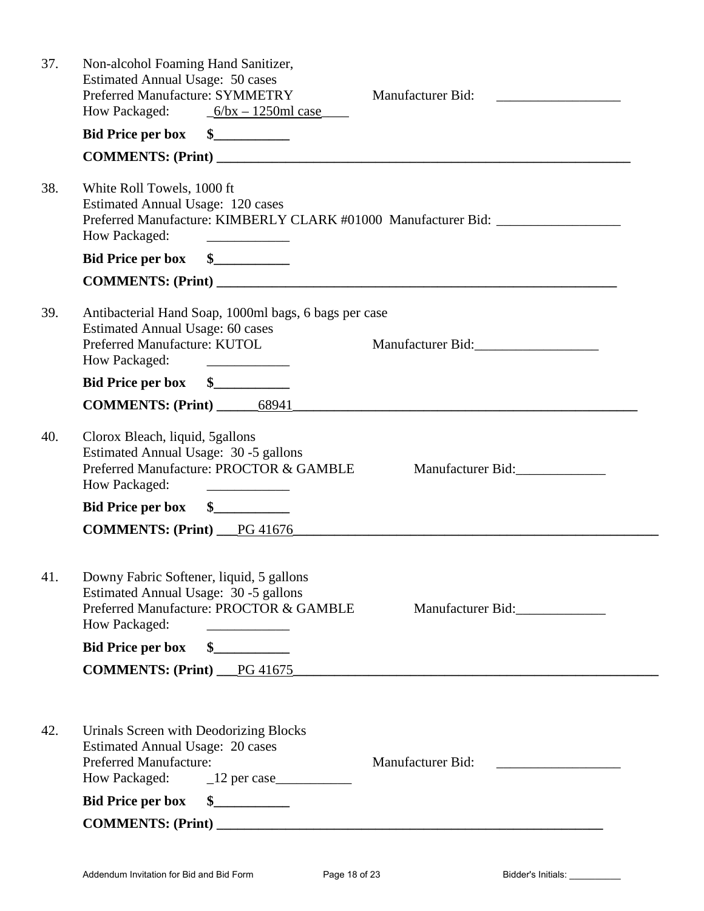| 37. | Non-alcohol Foaming Hand Sanitizer,<br><b>Estimated Annual Usage: 50 cases</b><br>Preferred Manufacture: SYMMETRY<br>How Packaged: $6/bx - 1250m1$ case                                                                                                                                                                                                                                                  | Manufacturer Bid:                                                                                                     |
|-----|----------------------------------------------------------------------------------------------------------------------------------------------------------------------------------------------------------------------------------------------------------------------------------------------------------------------------------------------------------------------------------------------------------|-----------------------------------------------------------------------------------------------------------------------|
|     | Bid Price per box \$                                                                                                                                                                                                                                                                                                                                                                                     |                                                                                                                       |
|     |                                                                                                                                                                                                                                                                                                                                                                                                          |                                                                                                                       |
| 38. | White Roll Towels, 1000 ft<br>Estimated Annual Usage: 120 cases<br>Preferred Manufacture: KIMBERLY CLARK #01000 Manufacturer Bid: _________________<br>How Packaged:<br>the company of the company of the                                                                                                                                                                                                |                                                                                                                       |
|     | Bid Price per box \$                                                                                                                                                                                                                                                                                                                                                                                     |                                                                                                                       |
|     |                                                                                                                                                                                                                                                                                                                                                                                                          |                                                                                                                       |
| 39. | Antibacterial Hand Soap, 1000ml bags, 6 bags per case<br><b>Estimated Annual Usage: 60 cases</b><br>Preferred Manufacture: KUTOL<br>How Packaged:<br><u> Albert III (1986)</u>                                                                                                                                                                                                                           | Manufacturer Bid: Manufacturer Bid:                                                                                   |
|     | Bid Price per box \$                                                                                                                                                                                                                                                                                                                                                                                     |                                                                                                                       |
|     | COMMENTS: (Print) _________68941_                                                                                                                                                                                                                                                                                                                                                                        | <u> 2001 - Jan Barbarat, prima din maso di massa di massa di massa di massa di massa di massa di massa di massa d</u> |
| 40. | Clorox Bleach, liquid, 5 gallons<br>Estimated Annual Usage: 30 -5 gallons<br>Preferred Manufacture: PROCTOR & GAMBLE<br>How Packaged:                                                                                                                                                                                                                                                                    | Manufacturer Bid:                                                                                                     |
|     | Bid Price per box \$                                                                                                                                                                                                                                                                                                                                                                                     |                                                                                                                       |
|     | <b>COMMENTS: (Print)</b> PG 41676                                                                                                                                                                                                                                                                                                                                                                        |                                                                                                                       |
| 41. | Downy Fabric Softener, liquid, 5 gallons<br>Estimated Annual Usage: 30 -5 gallons<br>Preferred Manufacture: PROCTOR & GAMBLE<br>How Packaged:                                                                                                                                                                                                                                                            | Manufacturer Bid:                                                                                                     |
|     | <b>Bid Price per box</b><br>$\frac{\S_{\frac{1}{2}}}{\S_{\frac{1}{2}}}{\S_{\frac{1}{2}}}{\S_{\frac{1}{2}}}{\S_{\frac{1}{2}}}{\S_{\frac{1}{2}}}{\S_{\frac{1}{2}}}{\S_{\frac{1}{2}}}{\S_{\frac{1}{2}}}{\S_{\frac{1}{2}}}{\S_{\frac{1}{2}}}{\S_{\frac{1}{2}}}{\S_{\frac{1}{2}}}{\S_{\frac{1}{2}}}{\S_{\frac{1}{2}}}{\S_{\frac{1}{2}}}{\S_{\frac{1}{2}}}{\S_{\frac{1}{2}}}{\S_{\frac{1}{2}}}{\S_{\frac{1}{2$ |                                                                                                                       |
|     | COMMENTS: (Print) PG 41675                                                                                                                                                                                                                                                                                                                                                                               |                                                                                                                       |
| 42. | Urinals Screen with Deodorizing Blocks                                                                                                                                                                                                                                                                                                                                                                   |                                                                                                                       |
|     | <b>Estimated Annual Usage: 20 cases</b><br><b>Preferred Manufacture:</b><br>How Packaged: 12 per case                                                                                                                                                                                                                                                                                                    | <b>Manufacturer Bid:</b>                                                                                              |
|     | <b>Bid Price per box</b><br>$\frac{1}{2}$                                                                                                                                                                                                                                                                                                                                                                |                                                                                                                       |
|     |                                                                                                                                                                                                                                                                                                                                                                                                          |                                                                                                                       |
|     |                                                                                                                                                                                                                                                                                                                                                                                                          |                                                                                                                       |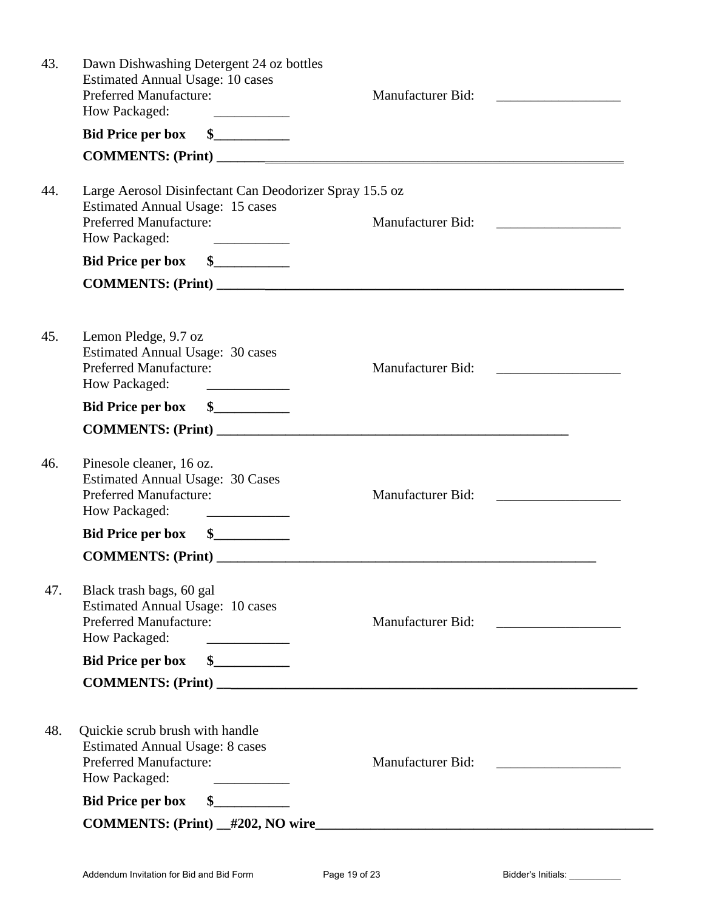| 43. | Dawn Dishwashing Detergent 24 oz bottles<br><b>Estimated Annual Usage: 10 cases</b><br><b>Preferred Manufacture:</b><br>How Packaged:<br><u> 2002 - John Stone, Amerikan bisa</u>                                                                                             | <b>Manufacturer Bid:</b> |
|-----|-------------------------------------------------------------------------------------------------------------------------------------------------------------------------------------------------------------------------------------------------------------------------------|--------------------------|
|     | Bid Price per box \$                                                                                                                                                                                                                                                          |                          |
|     |                                                                                                                                                                                                                                                                               |                          |
| 44. | Large Aerosol Disinfectant Can Deodorizer Spray 15.5 oz<br><b>Estimated Annual Usage: 15 cases</b><br><b>Preferred Manufacture:</b><br>How Packaged:<br><u> Alexandria de Alexandria de Alexandria de Alexandria de Alexandria de Alexandria de Alexandria de Alexandria </u> | <b>Manufacturer Bid:</b> |
|     | Bid Price per box \$                                                                                                                                                                                                                                                          |                          |
|     |                                                                                                                                                                                                                                                                               | COMMENTS: (Print)        |
| 45. | Lemon Pledge, 9.7 oz<br><b>Estimated Annual Usage: 30 cases</b><br><b>Preferred Manufacture:</b><br>How Packaged:                                                                                                                                                             | <b>Manufacturer Bid:</b> |
|     | Bid Price per box \$                                                                                                                                                                                                                                                          |                          |
|     |                                                                                                                                                                                                                                                                               |                          |
| 46. | Pinesole cleaner, 16 oz.<br><b>Estimated Annual Usage: 30 Cases</b><br><b>Preferred Manufacture:</b><br>How Packaged:<br><u> Alexandria de Alexandria de la pro</u>                                                                                                           | <b>Manufacturer Bid:</b> |
|     | $\frac{1}{2}$<br><b>Bid Price per box</b>                                                                                                                                                                                                                                     |                          |
|     |                                                                                                                                                                                                                                                                               |                          |
| 47. | Black trash bags, 60 gal<br><b>Estimated Annual Usage: 10 cases</b><br><b>Preferred Manufacture:</b><br>How Packaged:<br><u> 1989 - Johann Barnett, fransk politiker</u>                                                                                                      | Manufacturer Bid:        |
|     | <b>Bid Price per box</b><br>$\sim$                                                                                                                                                                                                                                            |                          |
|     | COMMENTS: (Print)                                                                                                                                                                                                                                                             |                          |
| 48. | Quickie scrub brush with handle<br><b>Estimated Annual Usage: 8 cases</b><br><b>Preferred Manufacture:</b><br>How Packaged:<br><b>Bid Price per box</b><br>$\sim$                                                                                                             | Manufacturer Bid:        |
|     |                                                                                                                                                                                                                                                                               |                          |
|     |                                                                                                                                                                                                                                                                               |                          |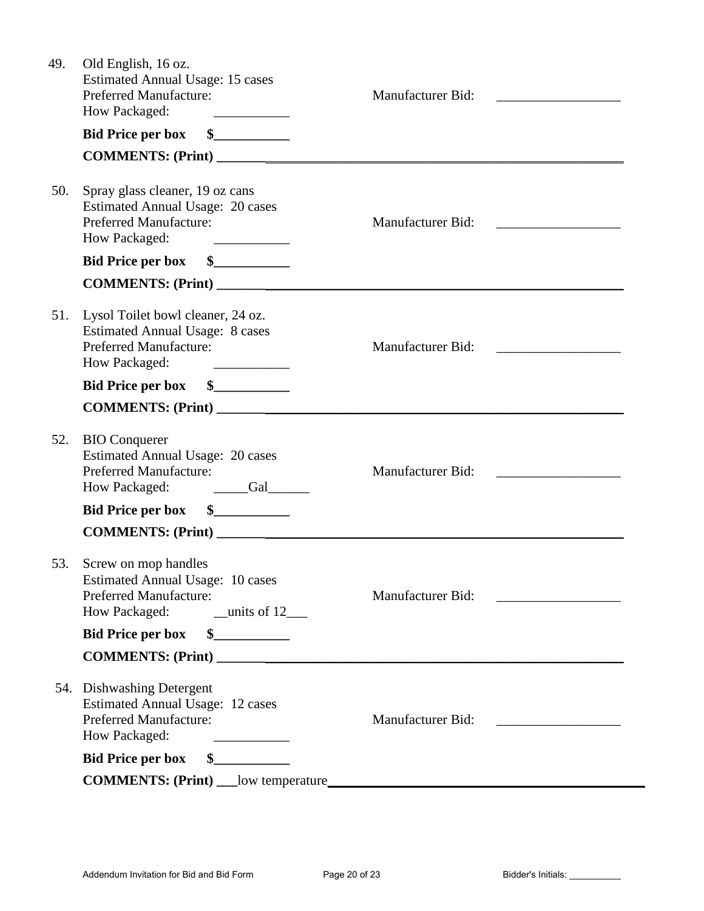| 49. | Old English, 16 oz.<br><b>Estimated Annual Usage: 15 cases</b><br>Preferred Manufacture:<br>How Packaged:<br><u> 1999 - Johann Barbara, martin a</u>                            | <b>Manufacturer Bid:</b>                                 |
|-----|---------------------------------------------------------------------------------------------------------------------------------------------------------------------------------|----------------------------------------------------------|
|     | $\frac{1}{2}$<br><b>Bid Price per box</b>                                                                                                                                       |                                                          |
|     |                                                                                                                                                                                 |                                                          |
| 50. | Spray glass cleaner, 19 oz cans<br><b>Estimated Annual Usage: 20 cases</b><br><b>Preferred Manufacture:</b><br>How Packaged:                                                    | Manufacturer Bid:<br><u> 1980 - Jan Barbarat, manala</u> |
|     | $\frac{1}{2}$<br><b>Bid Price per box</b>                                                                                                                                       |                                                          |
|     | COMMENTS: (Print)                                                                                                                                                               |                                                          |
| 51. | Lysol Toilet bowl cleaner, 24 oz.<br><b>Estimated Annual Usage: 8 cases</b><br><b>Preferred Manufacture:</b><br>How Packaged:<br><u> The Communication of the Communication</u> | <b>Manufacturer Bid:</b>                                 |
|     | $\sim$<br><b>Bid Price per box</b>                                                                                                                                              |                                                          |
|     | COMMENTS: (Print)                                                                                                                                                               |                                                          |
| 52. | <b>BIO</b> Conquerer<br><b>Estimated Annual Usage: 20 cases</b><br><b>Preferred Manufacture:</b><br>How Packaged:                                                               | Manufacturer Bid:                                        |
|     | <b>Bid Price per box</b>                                                                                                                                                        |                                                          |
|     | COMMENTS: (Print)                                                                                                                                                               |                                                          |
| 53. | Screw on mop handles<br>Estimated Annual Usage: 10 cases<br><b>Preferred Manufacture:</b>                                                                                       | <b>Manufacturer Bid:</b>                                 |
|     | <b>Bid Price per box</b>                                                                                                                                                        |                                                          |
|     | COMMENTS: (Print)                                                                                                                                                               |                                                          |
|     | 54. Dishwashing Detergent<br><b>Estimated Annual Usage: 12 cases</b><br><b>Preferred Manufacture:</b><br>How Packaged:<br><u> 1990 - John Barn Barn, amerikansk politiker</u>   | <b>Manufacturer Bid:</b>                                 |
|     | $\sim$<br><b>Bid Price per box</b>                                                                                                                                              |                                                          |
|     |                                                                                                                                                                                 |                                                          |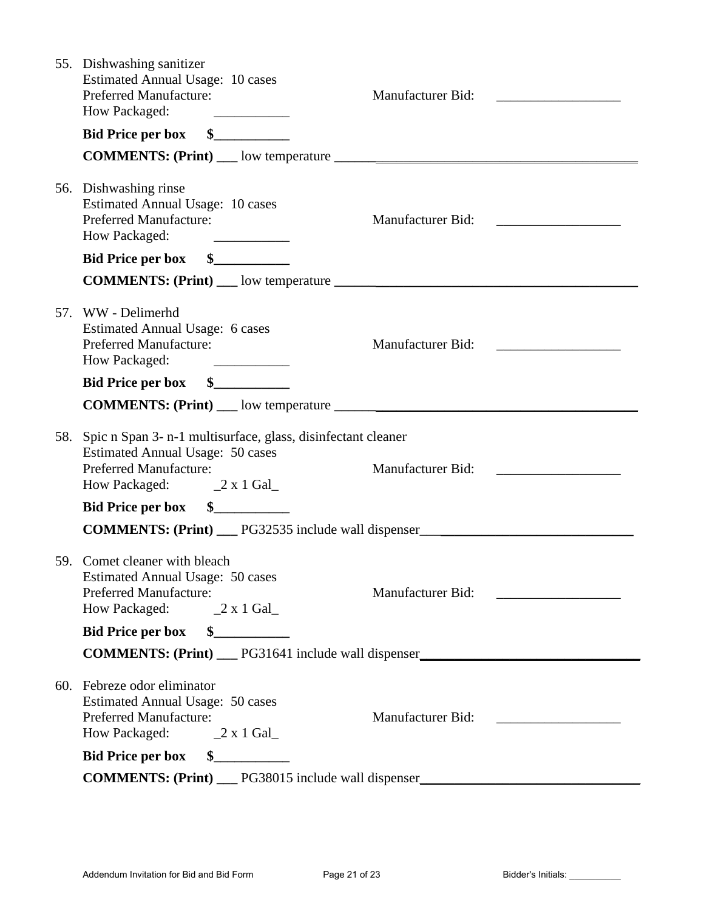| 55. Dishwashing sanitizer<br><b>Estimated Annual Usage: 10 cases</b><br><b>Preferred Manufacture:</b><br>How Packaged:<br><u> 1986 - Alexandria Alexandria III e ale</u>                                                                   | Manufacturer Bid:                                                                       |  |
|--------------------------------------------------------------------------------------------------------------------------------------------------------------------------------------------------------------------------------------------|-----------------------------------------------------------------------------------------|--|
| Bid Price per box \$                                                                                                                                                                                                                       |                                                                                         |  |
|                                                                                                                                                                                                                                            |                                                                                         |  |
| 56. Dishwashing rinse<br><b>Estimated Annual Usage: 10 cases</b><br><b>Preferred Manufacture:</b><br>How Packaged:<br><u> 1989 - Jan Stein Stein Stein Stein Stein Stein Stein Stein Stein Stein Stein Stein Stein Stein Stein Stein S</u> | Manufacturer Bid:                                                                       |  |
| Bid Price per box \$                                                                                                                                                                                                                       |                                                                                         |  |
|                                                                                                                                                                                                                                            |                                                                                         |  |
| 57. WW - Delimerhd<br><b>Estimated Annual Usage: 6 cases</b><br><b>Preferred Manufacture:</b><br>How Packaged:<br><u> 1989 - Andrea Barbara, poeta esp</u>                                                                                 | Manufacturer Bid:                                                                       |  |
| $\sim$<br><b>Bid Price per box</b>                                                                                                                                                                                                         |                                                                                         |  |
|                                                                                                                                                                                                                                            |                                                                                         |  |
| 58. Spic n Span 3- n-1 multisurface, glass, disinfectant cleaner<br><b>Estimated Annual Usage: 50 cases</b><br><b>Preferred Manufacture:</b><br>How Packaged: 2 x 1 Gal                                                                    | Manufacturer Bid:                                                                       |  |
| $\sim$<br><b>Bid Price per box</b>                                                                                                                                                                                                         |                                                                                         |  |
|                                                                                                                                                                                                                                            | <b>COMMENTS: (Print)</b> ___ PG32535 include wall dispenser____________________________ |  |
| 59. Comet cleaner with bleach<br><b>Estimated Annual Usage: 50 cases</b><br><b>Preferred Manufacture:</b><br>How Packaged: 2 x 1 Gal                                                                                                       | Manufacturer Bid:                                                                       |  |
| <b>Bid Price per box</b><br>$\frac{1}{2}$                                                                                                                                                                                                  |                                                                                         |  |
|                                                                                                                                                                                                                                            | COMMENTS: (Print) __ PG31641 include wall dispenser_____________________________        |  |
| 60. Febreze odor eliminator<br><b>Estimated Annual Usage: 50 cases</b><br>Preferred Manufacture:<br>How Packaged: 2 x 1 Gal                                                                                                                | Manufacturer Bid:                                                                       |  |
| <b>Bid Price per box</b><br>$\frac{1}{2}$                                                                                                                                                                                                  |                                                                                         |  |
| COMMENTS: (Print) __ PG38015 include wall dispenser _____________________________                                                                                                                                                          |                                                                                         |  |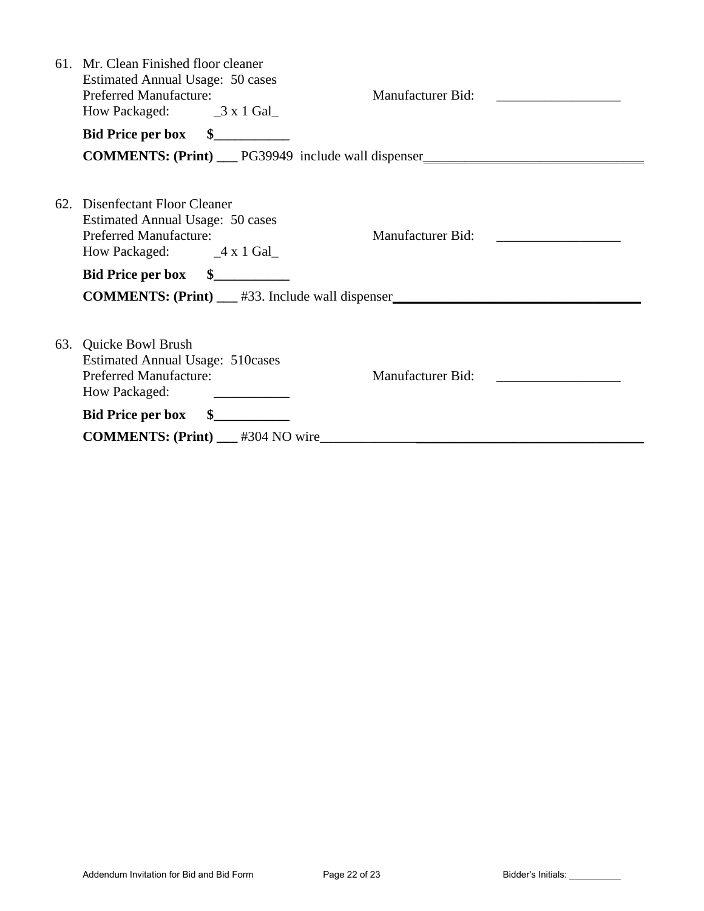| <b>COMMENTS: (Print)</b> __ PG39949 include wall dispenser                              |
|-----------------------------------------------------------------------------------------|
|                                                                                         |
|                                                                                         |
|                                                                                         |
|                                                                                         |
| <b>COMMENTS: (Print)</b> ___ #33. Include wall dispenser ______________________________ |
|                                                                                         |
|                                                                                         |
|                                                                                         |
|                                                                                         |